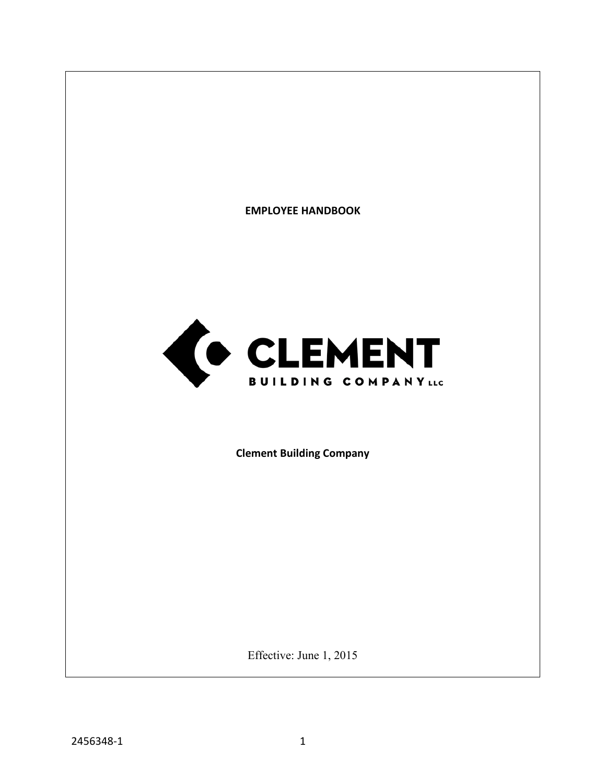

Effective: June 1, 2015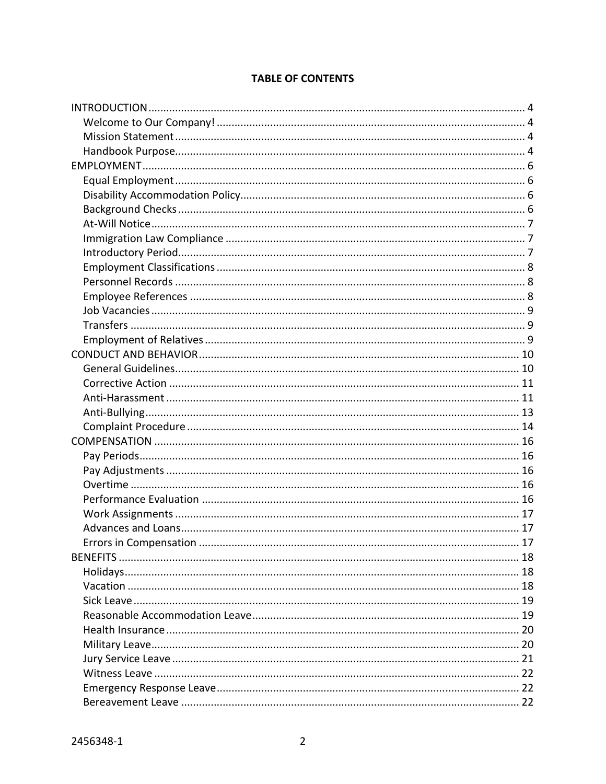# **TABLE OF CONTENTS**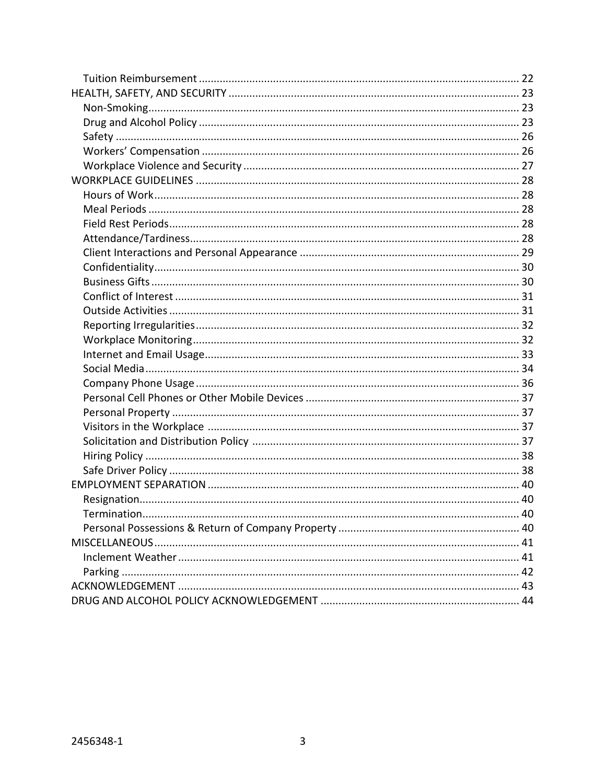| Termination |  |
|-------------|--|
|             |  |
|             |  |
|             |  |
|             |  |
|             |  |
|             |  |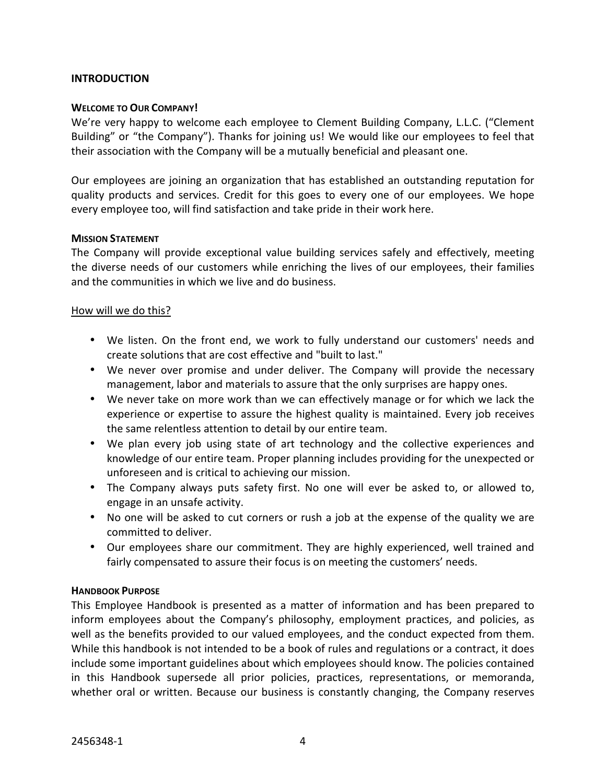# **INTRODUCTION**

### **WELCOME TO OUR COMPANY!**

We're very happy to welcome each employee to Clement Building Company, L.L.C. ("Clement Building" or "the Company"). Thanks for joining us! We would like our employees to feel that their association with the Company will be a mutually beneficial and pleasant one.

Our employees are joining an organization that has established an outstanding reputation for quality products and services. Credit for this goes to every one of our employees. We hope every employee too, will find satisfaction and take pride in their work here.

#### **MISSION STATEMENT**

The Company will provide exceptional value building services safely and effectively, meeting the diverse needs of our customers while enriching the lives of our employees, their families and the communities in which we live and do business.

#### How will we do this?

- We listen. On the front end, we work to fully understand our customers' needs and create solutions that are cost effective and "built to last."
- We never over promise and under deliver. The Company will provide the necessary management, labor and materials to assure that the only surprises are happy ones.
- We never take on more work than we can effectively manage or for which we lack the experience or expertise to assure the highest quality is maintained. Every job receives the same relentless attention to detail by our entire team.
- We plan every job using state of art technology and the collective experiences and knowledge of our entire team. Proper planning includes providing for the unexpected or unforeseen and is critical to achieving our mission.
- The Company always puts safety first. No one will ever be asked to, or allowed to, engage in an unsafe activity.
- No one will be asked to cut corners or rush a job at the expense of the quality we are committed to deliver.
- Our employees share our commitment. They are highly experienced, well trained and fairly compensated to assure their focus is on meeting the customers' needs.

# **HANDBOOK PURPOSE**

This Employee Handbook is presented as a matter of information and has been prepared to inform employees about the Company's philosophy, employment practices, and policies, as well as the benefits provided to our valued employees, and the conduct expected from them. While this handbook is not intended to be a book of rules and regulations or a contract, it does include some important guidelines about which employees should know. The policies contained in this Handbook supersede all prior policies, practices, representations, or memoranda, whether oral or written. Because our business is constantly changing, the Company reserves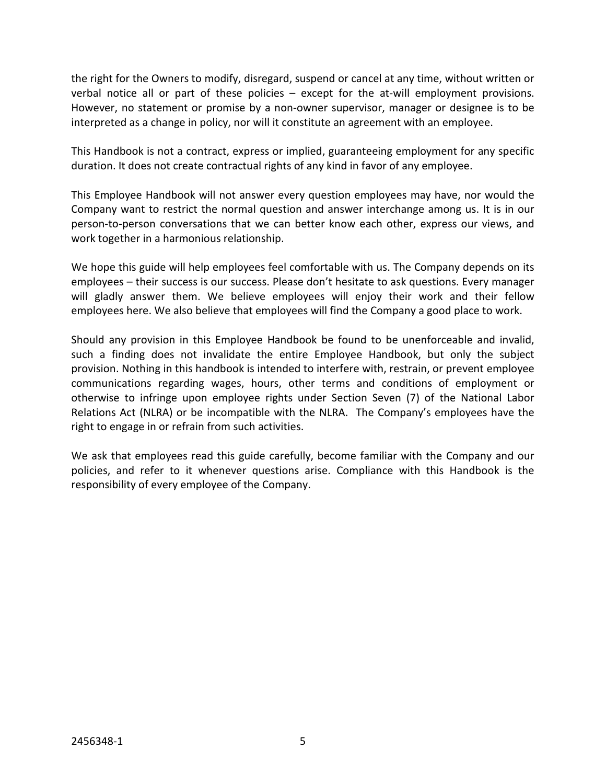the right for the Owners to modify, disregard, suspend or cancel at any time, without written or verbal notice all or part of these policies – except for the at-will employment provisions. However, no statement or promise by a non-owner supervisor, manager or designee is to be interpreted as a change in policy, nor will it constitute an agreement with an employee.

This Handbook is not a contract, express or implied, guaranteeing employment for any specific duration. It does not create contractual rights of any kind in favor of any employee.

This Employee Handbook will not answer every question employees may have, nor would the Company want to restrict the normal question and answer interchange among us. It is in our person-to-person conversations that we can better know each other, express our views, and work together in a harmonious relationship.

We hope this guide will help employees feel comfortable with us. The Company depends on its employees – their success is our success. Please don't hesitate to ask questions. Every manager will gladly answer them. We believe employees will enjoy their work and their fellow employees here. We also believe that employees will find the Company a good place to work.

Should any provision in this Employee Handbook be found to be unenforceable and invalid, such a finding does not invalidate the entire Employee Handbook, but only the subject provision. Nothing in this handbook is intended to interfere with, restrain, or prevent employee communications regarding wages, hours, other terms and conditions of employment or otherwise to infringe upon employee rights under Section Seven (7) of the National Labor Relations Act (NLRA) or be incompatible with the NLRA. The Company's employees have the right to engage in or refrain from such activities.

We ask that employees read this guide carefully, become familiar with the Company and our policies, and refer to it whenever questions arise. Compliance with this Handbook is the responsibility of every employee of the Company.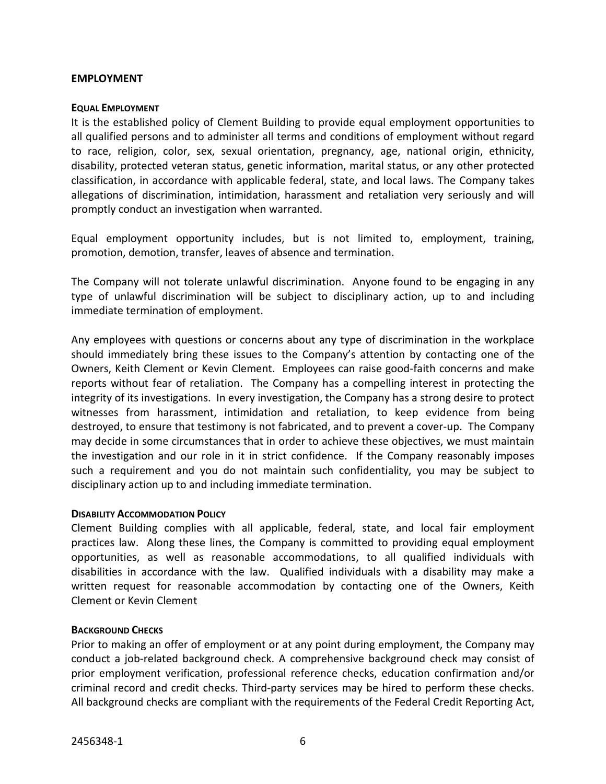#### **EMPLOYMENT**

#### **EQUAL EMPLOYMENT**

It is the established policy of Clement Building to provide equal employment opportunities to all qualified persons and to administer all terms and conditions of employment without regard to race, religion, color, sex, sexual orientation, pregnancy, age, national origin, ethnicity, disability, protected veteran status, genetic information, marital status, or any other protected classification, in accordance with applicable federal, state, and local laws. The Company takes allegations of discrimination, intimidation, harassment and retaliation very seriously and will promptly conduct an investigation when warranted.

Equal employment opportunity includes, but is not limited to, employment, training, promotion, demotion, transfer, leaves of absence and termination.

The Company will not tolerate unlawful discrimination. Anyone found to be engaging in any type of unlawful discrimination will be subject to disciplinary action, up to and including immediate termination of employment.

Any employees with questions or concerns about any type of discrimination in the workplace should immediately bring these issues to the Company's attention by contacting one of the Owners, Keith Clement or Kevin Clement. Employees can raise good-faith concerns and make reports without fear of retaliation. The Company has a compelling interest in protecting the integrity of its investigations. In every investigation, the Company has a strong desire to protect witnesses from harassment, intimidation and retaliation, to keep evidence from being destroyed, to ensure that testimony is not fabricated, and to prevent a cover-up. The Company may decide in some circumstances that in order to achieve these objectives, we must maintain the investigation and our role in it in strict confidence. If the Company reasonably imposes such a requirement and you do not maintain such confidentiality, you may be subject to disciplinary action up to and including immediate termination.

#### **DISABILITY ACCOMMODATION POLICY**

Clement Building complies with all applicable, federal, state, and local fair employment practices law. Along these lines, the Company is committed to providing equal employment opportunities, as well as reasonable accommodations, to all qualified individuals with disabilities in accordance with the law. Qualified individuals with a disability may make a written request for reasonable accommodation by contacting one of the Owners, Keith Clement or Kevin Clement

# **BACKGROUND CHECKS**

Prior to making an offer of employment or at any point during employment, the Company may conduct a job-related background check. A comprehensive background check may consist of prior employment verification, professional reference checks, education confirmation and/or criminal record and credit checks. Third-party services may be hired to perform these checks. All background checks are compliant with the requirements of the Federal Credit Reporting Act,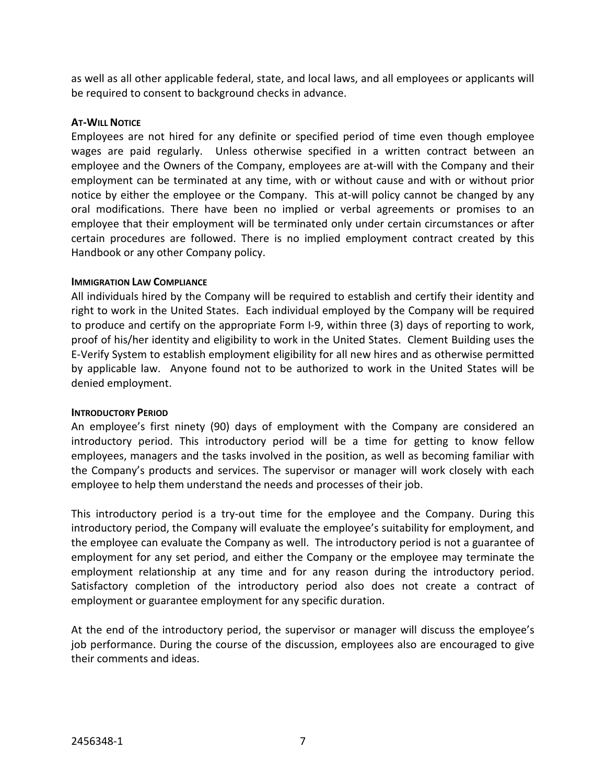as well as all other applicable federal, state, and local laws, and all employees or applicants will be required to consent to background checks in advance.

### **AT-WILL NOTICE**

Employees are not hired for any definite or specified period of time even though employee wages are paid regularly. Unless otherwise specified in a written contract between an employee and the Owners of the Company, employees are at-will with the Company and their employment can be terminated at any time, with or without cause and with or without prior notice by either the employee or the Company. This at-will policy cannot be changed by any oral modifications. There have been no implied or verbal agreements or promises to an employee that their employment will be terminated only under certain circumstances or after certain procedures are followed. There is no implied employment contract created by this Handbook or any other Company policy.

#### **IMMIGRATION LAW COMPLIANCE**

All individuals hired by the Company will be required to establish and certify their identity and right to work in the United States. Each individual employed by the Company will be required to produce and certify on the appropriate Form I-9, within three (3) days of reporting to work, proof of his/her identity and eligibility to work in the United States. Clement Building uses the E-Verify System to establish employment eligibility for all new hires and as otherwise permitted by applicable law. Anyone found not to be authorized to work in the United States will be denied employment.

#### **INTRODUCTORY PERIOD**

An employee's first ninety (90) days of employment with the Company are considered an introductory period. This introductory period will be a time for getting to know fellow employees, managers and the tasks involved in the position, as well as becoming familiar with the Company's products and services. The supervisor or manager will work closely with each employee to help them understand the needs and processes of their job.

This introductory period is a try-out time for the employee and the Company. During this introductory period, the Company will evaluate the employee's suitability for employment, and the employee can evaluate the Company as well. The introductory period is not a guarantee of employment for any set period, and either the Company or the employee may terminate the employment relationship at any time and for any reason during the introductory period. Satisfactory completion of the introductory period also does not create a contract of employment or guarantee employment for any specific duration.

At the end of the introductory period, the supervisor or manager will discuss the employee's job performance. During the course of the discussion, employees also are encouraged to give their comments and ideas.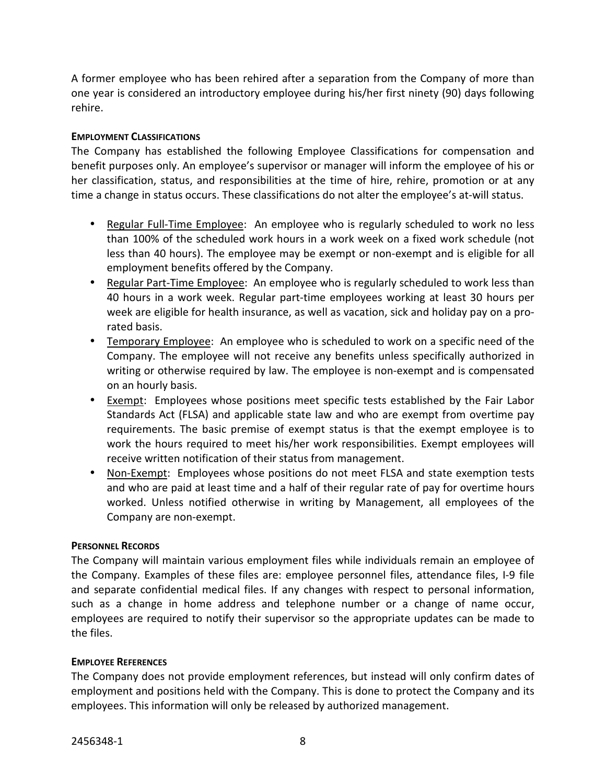A former employee who has been rehired after a separation from the Company of more than one year is considered an introductory employee during his/her first ninety (90) days following rehire.

# **EMPLOYMENT CLASSIFICATIONS**

The Company has established the following Employee Classifications for compensation and benefit purposes only. An employee's supervisor or manager will inform the employee of his or her classification, status, and responsibilities at the time of hire, rehire, promotion or at any time a change in status occurs. These classifications do not alter the employee's at-will status.

- Regular Full-Time Employee: An employee who is regularly scheduled to work no less than 100% of the scheduled work hours in a work week on a fixed work schedule (not less than 40 hours). The employee may be exempt or non-exempt and is eligible for all employment benefits offered by the Company.
- Regular Part-Time Employee: An employee who is regularly scheduled to work less than 40 hours in a work week. Regular part-time employees working at least 30 hours per week are eligible for health insurance, as well as vacation, sick and holiday pay on a prorated basis.
- Temporary Employee: An employee who is scheduled to work on a specific need of the Company. The employee will not receive any benefits unless specifically authorized in writing or otherwise required by law. The employee is non-exempt and is compensated on an hourly basis.
- Exempt: Employees whose positions meet specific tests established by the Fair Labor Standards Act (FLSA) and applicable state law and who are exempt from overtime pay requirements. The basic premise of exempt status is that the exempt employee is to work the hours required to meet his/her work responsibilities. Exempt employees will receive written notification of their status from management.
- Non-Exempt: Employees whose positions do not meet FLSA and state exemption tests and who are paid at least time and a half of their regular rate of pay for overtime hours worked. Unless notified otherwise in writing by Management, all employees of the Company are non-exempt.

# **PERSONNEL RECORDS**

The Company will maintain various employment files while individuals remain an employee of the Company. Examples of these files are: employee personnel files, attendance files, I-9 file and separate confidential medical files. If any changes with respect to personal information, such as a change in home address and telephone number or a change of name occur, employees are required to notify their supervisor so the appropriate updates can be made to the files.

# **EMPLOYEE REFERENCES**

The Company does not provide employment references, but instead will only confirm dates of employment and positions held with the Company. This is done to protect the Company and its employees. This information will only be released by authorized management.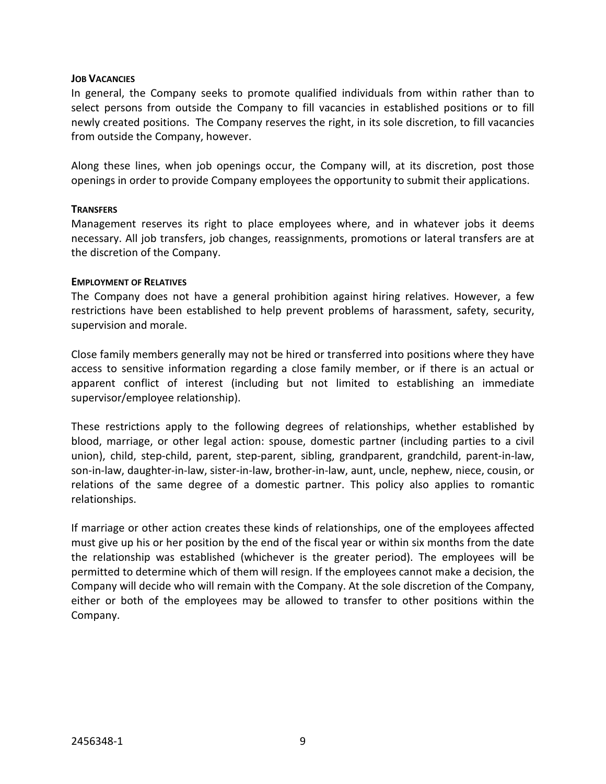#### **JOB VACANCIES**

In general, the Company seeks to promote qualified individuals from within rather than to select persons from outside the Company to fill vacancies in established positions or to fill newly created positions. The Company reserves the right, in its sole discretion, to fill vacancies from outside the Company, however.

Along these lines, when job openings occur, the Company will, at its discretion, post those openings in order to provide Company employees the opportunity to submit their applications.

#### **TRANSFERS**

Management reserves its right to place employees where, and in whatever jobs it deems necessary. All job transfers, job changes, reassignments, promotions or lateral transfers are at the discretion of the Company.

#### **EMPLOYMENT OF RELATIVES**

The Company does not have a general prohibition against hiring relatives. However, a few restrictions have been established to help prevent problems of harassment, safety, security, supervision and morale.

Close family members generally may not be hired or transferred into positions where they have access to sensitive information regarding a close family member, or if there is an actual or apparent conflict of interest (including but not limited to establishing an immediate supervisor/employee relationship).

These restrictions apply to the following degrees of relationships, whether established by blood, marriage, or other legal action: spouse, domestic partner (including parties to a civil union), child, step-child, parent, step-parent, sibling, grandparent, grandchild, parent-in-law, son-in-law, daughter-in-law, sister-in-law, brother-in-law, aunt, uncle, nephew, niece, cousin, or relations of the same degree of a domestic partner. This policy also applies to romantic relationships.

If marriage or other action creates these kinds of relationships, one of the employees affected must give up his or her position by the end of the fiscal year or within six months from the date the relationship was established (whichever is the greater period). The employees will be permitted to determine which of them will resign. If the employees cannot make a decision, the Company will decide who will remain with the Company. At the sole discretion of the Company, either or both of the employees may be allowed to transfer to other positions within the Company.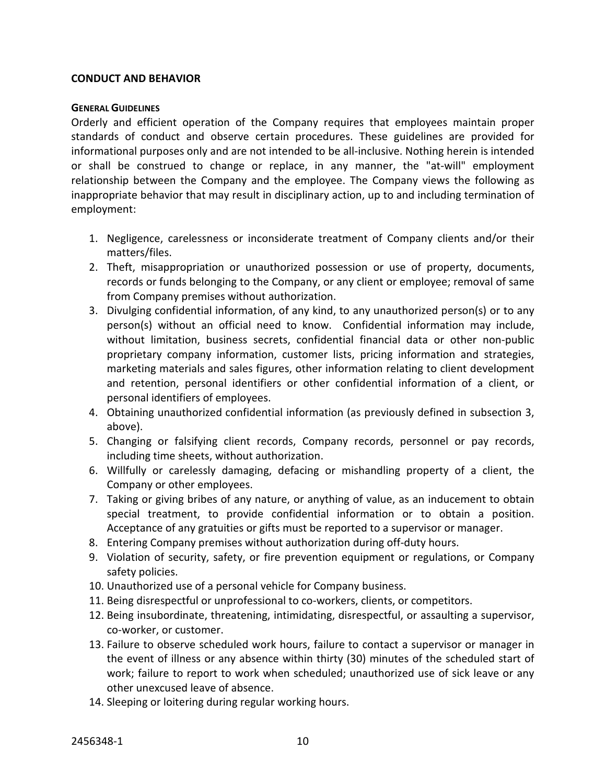# **CONDUCT AND BEHAVIOR**

#### **GENERAL GUIDELINES**

Orderly and efficient operation of the Company requires that employees maintain proper standards of conduct and observe certain procedures. These guidelines are provided for informational purposes only and are not intended to be all-inclusive. Nothing herein is intended or shall be construed to change or replace, in any manner, the "at-will" employment relationship between the Company and the employee. The Company views the following as inappropriate behavior that may result in disciplinary action, up to and including termination of employment:

- 1. Negligence, carelessness or inconsiderate treatment of Company clients and/or their matters/files.
- 2. Theft, misappropriation or unauthorized possession or use of property, documents, records or funds belonging to the Company, or any client or employee; removal of same from Company premises without authorization.
- 3. Divulging confidential information, of any kind, to any unauthorized person(s) or to any person(s) without an official need to know. Confidential information may include, without limitation, business secrets, confidential financial data or other non-public proprietary company information, customer lists, pricing information and strategies, marketing materials and sales figures, other information relating to client development and retention, personal identifiers or other confidential information of a client, or personal identifiers of employees.
- 4. Obtaining unauthorized confidential information (as previously defined in subsection 3, above).
- 5. Changing or falsifying client records, Company records, personnel or pay records, including time sheets, without authorization.
- 6. Willfully or carelessly damaging, defacing or mishandling property of a client, the Company or other employees.
- 7. Taking or giving bribes of any nature, or anything of value, as an inducement to obtain special treatment, to provide confidential information or to obtain a position. Acceptance of any gratuities or gifts must be reported to a supervisor or manager.
- 8. Entering Company premises without authorization during off-duty hours.
- 9. Violation of security, safety, or fire prevention equipment or regulations, or Company safety policies.
- 10. Unauthorized use of a personal vehicle for Company business.
- 11. Being disrespectful or unprofessional to co-workers, clients, or competitors.
- 12. Being insubordinate, threatening, intimidating, disrespectful, or assaulting a supervisor, co-worker, or customer.
- 13. Failure to observe scheduled work hours, failure to contact a supervisor or manager in the event of illness or any absence within thirty (30) minutes of the scheduled start of work; failure to report to work when scheduled; unauthorized use of sick leave or any other unexcused leave of absence.
- 14. Sleeping or loitering during regular working hours.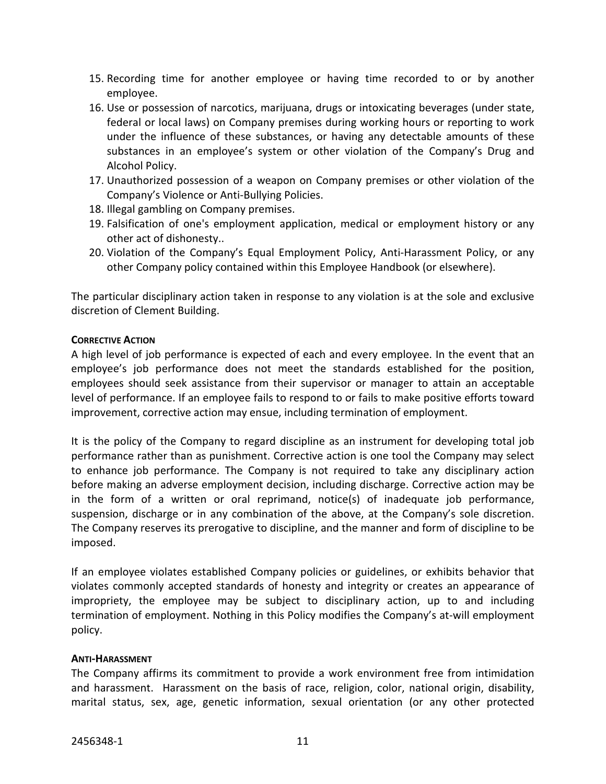- 15. Recording time for another employee or having time recorded to or by another employee.
- 16. Use or possession of narcotics, marijuana, drugs or intoxicating beverages (under state, federal or local laws) on Company premises during working hours or reporting to work under the influence of these substances, or having any detectable amounts of these substances in an employee's system or other violation of the Company's Drug and Alcohol Policy.
- 17. Unauthorized possession of a weapon on Company premises or other violation of the Company's Violence or Anti-Bullying Policies.
- 18. Illegal gambling on Company premises.
- 19. Falsification of one's employment application, medical or employment history or any other act of dishonesty..
- 20. Violation of the Company's Equal Employment Policy, Anti-Harassment Policy, or any other Company policy contained within this Employee Handbook (or elsewhere).

The particular disciplinary action taken in response to any violation is at the sole and exclusive discretion of Clement Building.

# **CORRECTIVE ACTION**

A high level of job performance is expected of each and every employee. In the event that an employee's job performance does not meet the standards established for the position, employees should seek assistance from their supervisor or manager to attain an acceptable level of performance. If an employee fails to respond to or fails to make positive efforts toward improvement, corrective action may ensue, including termination of employment.

It is the policy of the Company to regard discipline as an instrument for developing total job performance rather than as punishment. Corrective action is one tool the Company may select to enhance job performance. The Company is not required to take any disciplinary action before making an adverse employment decision, including discharge. Corrective action may be in the form of a written or oral reprimand, notice(s) of inadequate job performance, suspension, discharge or in any combination of the above, at the Company's sole discretion. The Company reserves its prerogative to discipline, and the manner and form of discipline to be imposed.

If an employee violates established Company policies or guidelines, or exhibits behavior that violates commonly accepted standards of honesty and integrity or creates an appearance of impropriety, the employee may be subject to disciplinary action, up to and including termination of employment. Nothing in this Policy modifies the Company's at-will employment policy.

# **ANTI-HARASSMENT**

The Company affirms its commitment to provide a work environment free from intimidation and harassment. Harassment on the basis of race, religion, color, national origin, disability, marital status, sex, age, genetic information, sexual orientation (or any other protected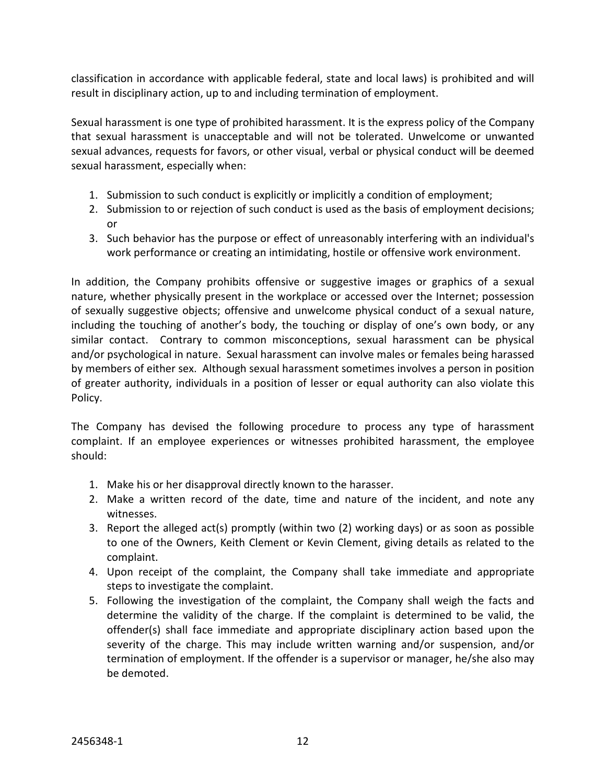classification in accordance with applicable federal, state and local laws) is prohibited and will result in disciplinary action, up to and including termination of employment.

Sexual harassment is one type of prohibited harassment. It is the express policy of the Company that sexual harassment is unacceptable and will not be tolerated. Unwelcome or unwanted sexual advances, requests for favors, or other visual, verbal or physical conduct will be deemed sexual harassment, especially when:

- 1. Submission to such conduct is explicitly or implicitly a condition of employment;
- 2. Submission to or rejection of such conduct is used as the basis of employment decisions; or
- 3. Such behavior has the purpose or effect of unreasonably interfering with an individual's work performance or creating an intimidating, hostile or offensive work environment.

In addition, the Company prohibits offensive or suggestive images or graphics of a sexual nature, whether physically present in the workplace or accessed over the Internet; possession of sexually suggestive objects; offensive and unwelcome physical conduct of a sexual nature, including the touching of another's body, the touching or display of one's own body, or any similar contact. Contrary to common misconceptions, sexual harassment can be physical and/or psychological in nature. Sexual harassment can involve males or females being harassed by members of either sex. Although sexual harassment sometimes involves a person in position of greater authority, individuals in a position of lesser or equal authority can also violate this Policy.

The Company has devised the following procedure to process any type of harassment complaint. If an employee experiences or witnesses prohibited harassment, the employee should:

- 1. Make his or her disapproval directly known to the harasser.
- 2. Make a written record of the date, time and nature of the incident, and note any witnesses.
- 3. Report the alleged act(s) promptly (within two (2) working days) or as soon as possible to one of the Owners, Keith Clement or Kevin Clement, giving details as related to the complaint.
- 4. Upon receipt of the complaint, the Company shall take immediate and appropriate steps to investigate the complaint.
- 5. Following the investigation of the complaint, the Company shall weigh the facts and determine the validity of the charge. If the complaint is determined to be valid, the offender(s) shall face immediate and appropriate disciplinary action based upon the severity of the charge. This may include written warning and/or suspension, and/or termination of employment. If the offender is a supervisor or manager, he/she also may be demoted.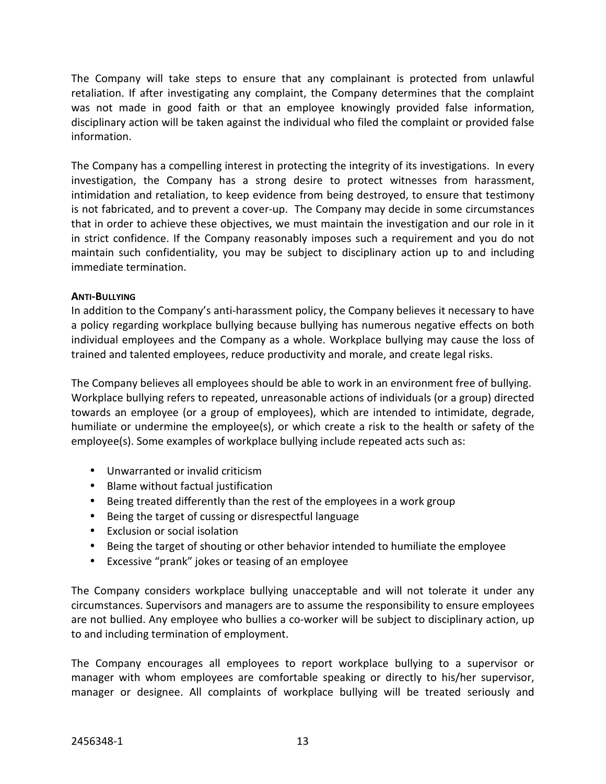The Company will take steps to ensure that any complainant is protected from unlawful retaliation. If after investigating any complaint, the Company determines that the complaint was not made in good faith or that an employee knowingly provided false information, disciplinary action will be taken against the individual who filed the complaint or provided false information.

The Company has a compelling interest in protecting the integrity of its investigations. In every investigation, the Company has a strong desire to protect witnesses from harassment, intimidation and retaliation, to keep evidence from being destroyed, to ensure that testimony is not fabricated, and to prevent a cover-up. The Company may decide in some circumstances that in order to achieve these objectives, we must maintain the investigation and our role in it in strict confidence. If the Company reasonably imposes such a requirement and you do not maintain such confidentiality, you may be subject to disciplinary action up to and including immediate termination.

# **ANTI-BULLYING**

In addition to the Company's anti-harassment policy, the Company believes it necessary to have a policy regarding workplace bullying because bullying has numerous negative effects on both individual employees and the Company as a whole. Workplace bullying may cause the loss of trained and talented employees, reduce productivity and morale, and create legal risks.

The Company believes all employees should be able to work in an environment free of bullying. Workplace bullying refers to repeated, unreasonable actions of individuals (or a group) directed towards an employee (or a group of employees), which are intended to intimidate, degrade, humiliate or undermine the employee(s), or which create a risk to the health or safety of the employee(s). Some examples of workplace bullying include repeated acts such as:

- Unwarranted or invalid criticism
- Blame without factual justification
- Being treated differently than the rest of the employees in a work group
- Being the target of cussing or disrespectful language
- Exclusion or social isolation
- Being the target of shouting or other behavior intended to humiliate the employee
- Excessive "prank" jokes or teasing of an employee

The Company considers workplace bullying unacceptable and will not tolerate it under any circumstances. Supervisors and managers are to assume the responsibility to ensure employees are not bullied. Any employee who bullies a co-worker will be subject to disciplinary action, up to and including termination of employment.

The Company encourages all employees to report workplace bullying to a supervisor or manager with whom employees are comfortable speaking or directly to his/her supervisor, manager or designee. All complaints of workplace bullying will be treated seriously and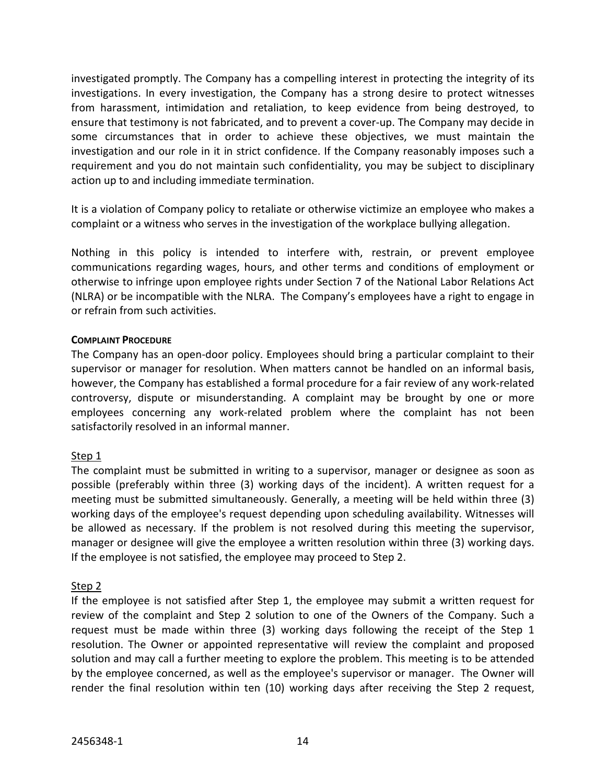investigated promptly. The Company has a compelling interest in protecting the integrity of its investigations. In every investigation, the Company has a strong desire to protect witnesses from harassment, intimidation and retaliation, to keep evidence from being destroyed, to ensure that testimony is not fabricated, and to prevent a cover-up. The Company may decide in some circumstances that in order to achieve these objectives, we must maintain the investigation and our role in it in strict confidence. If the Company reasonably imposes such a requirement and you do not maintain such confidentiality, you may be subject to disciplinary action up to and including immediate termination.

It is a violation of Company policy to retaliate or otherwise victimize an employee who makes a complaint or a witness who serves in the investigation of the workplace bullying allegation.

Nothing in this policy is intended to interfere with, restrain, or prevent employee communications regarding wages, hours, and other terms and conditions of employment or otherwise to infringe upon employee rights under Section 7 of the National Labor Relations Act (NLRA) or be incompatible with the NLRA. The Company's employees have a right to engage in or refrain from such activities.

# **COMPLAINT PROCEDURE**

The Company has an open-door policy. Employees should bring a particular complaint to their supervisor or manager for resolution. When matters cannot be handled on an informal basis, however, the Company has established a formal procedure for a fair review of any work-related controversy, dispute or misunderstanding. A complaint may be brought by one or more employees concerning any work-related problem where the complaint has not been satisfactorily resolved in an informal manner.

# Step 1

The complaint must be submitted in writing to a supervisor, manager or designee as soon as possible (preferably within three (3) working days of the incident). A written request for a meeting must be submitted simultaneously. Generally, a meeting will be held within three (3) working days of the employee's request depending upon scheduling availability. Witnesses will be allowed as necessary. If the problem is not resolved during this meeting the supervisor, manager or designee will give the employee a written resolution within three (3) working days. If the employee is not satisfied, the employee may proceed to Step 2.

# Step 2

If the employee is not satisfied after Step 1, the employee may submit a written request for review of the complaint and Step 2 solution to one of the Owners of the Company. Such a request must be made within three (3) working days following the receipt of the Step 1 resolution. The Owner or appointed representative will review the complaint and proposed solution and may call a further meeting to explore the problem. This meeting is to be attended by the employee concerned, as well as the employee's supervisor or manager. The Owner will render the final resolution within ten (10) working days after receiving the Step 2 request,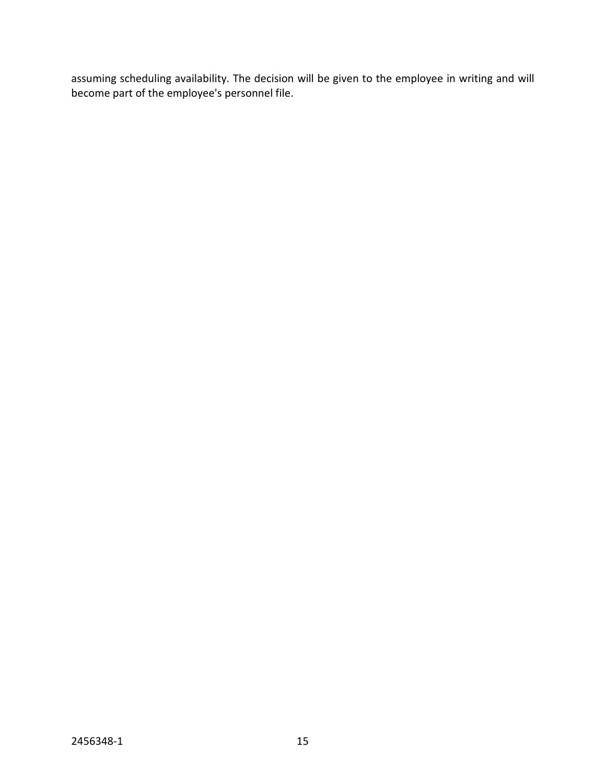assuming scheduling availability. The decision will be given to the employee in writing and will become part of the employee's personnel file.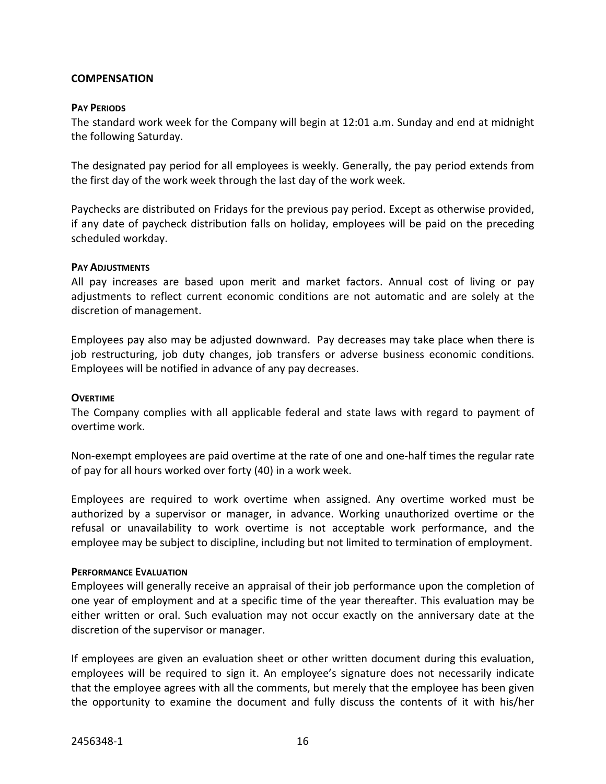### **COMPENSATION**

#### **PAY PERIODS**

The standard work week for the Company will begin at 12:01 a.m. Sunday and end at midnight the following Saturday.

The designated pay period for all employees is weekly. Generally, the pay period extends from the first day of the work week through the last day of the work week.

Paychecks are distributed on Fridays for the previous pay period. Except as otherwise provided, if any date of paycheck distribution falls on holiday, employees will be paid on the preceding scheduled workday.

#### **PAY ADJUSTMENTS**

All pay increases are based upon merit and market factors. Annual cost of living or pay adjustments to reflect current economic conditions are not automatic and are solely at the discretion of management.

Employees pay also may be adjusted downward. Pay decreases may take place when there is job restructuring, job duty changes, job transfers or adverse business economic conditions. Employees will be notified in advance of any pay decreases.

#### **OVERTIME**

The Company complies with all applicable federal and state laws with regard to payment of overtime work.

Non-exempt employees are paid overtime at the rate of one and one-half times the regular rate of pay for all hours worked over forty (40) in a work week.

Employees are required to work overtime when assigned. Any overtime worked must be authorized by a supervisor or manager, in advance. Working unauthorized overtime or the refusal or unavailability to work overtime is not acceptable work performance, and the employee may be subject to discipline, including but not limited to termination of employment.

#### **PERFORMANCE EVALUATION**

Employees will generally receive an appraisal of their job performance upon the completion of one year of employment and at a specific time of the year thereafter. This evaluation may be either written or oral. Such evaluation may not occur exactly on the anniversary date at the discretion of the supervisor or manager.

If employees are given an evaluation sheet or other written document during this evaluation, employees will be required to sign it. An employee's signature does not necessarily indicate that the employee agrees with all the comments, but merely that the employee has been given the opportunity to examine the document and fully discuss the contents of it with his/her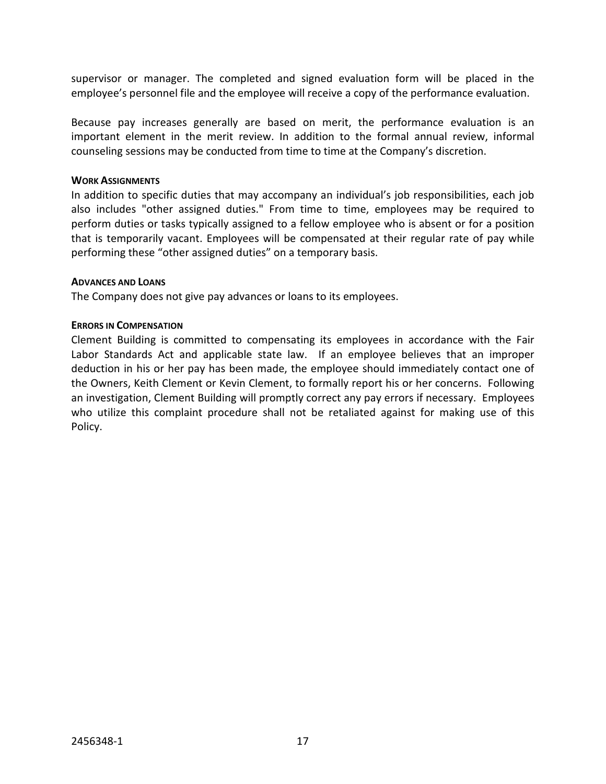supervisor or manager. The completed and signed evaluation form will be placed in the employee's personnel file and the employee will receive a copy of the performance evaluation.

Because pay increases generally are based on merit, the performance evaluation is an important element in the merit review. In addition to the formal annual review, informal counseling sessions may be conducted from time to time at the Company's discretion.

#### **WORK ASSIGNMENTS**

In addition to specific duties that may accompany an individual's job responsibilities, each job also includes "other assigned duties." From time to time, employees may be required to perform duties or tasks typically assigned to a fellow employee who is absent or for a position that is temporarily vacant. Employees will be compensated at their regular rate of pay while performing these "other assigned duties" on a temporary basis.

#### **ADVANCES AND LOANS**

The Company does not give pay advances or loans to its employees.

#### **ERRORS IN COMPENSATION**

Clement Building is committed to compensating its employees in accordance with the Fair Labor Standards Act and applicable state law. If an employee believes that an improper deduction in his or her pay has been made, the employee should immediately contact one of the Owners, Keith Clement or Kevin Clement, to formally report his or her concerns. Following an investigation, Clement Building will promptly correct any pay errors if necessary. Employees who utilize this complaint procedure shall not be retaliated against for making use of this Policy.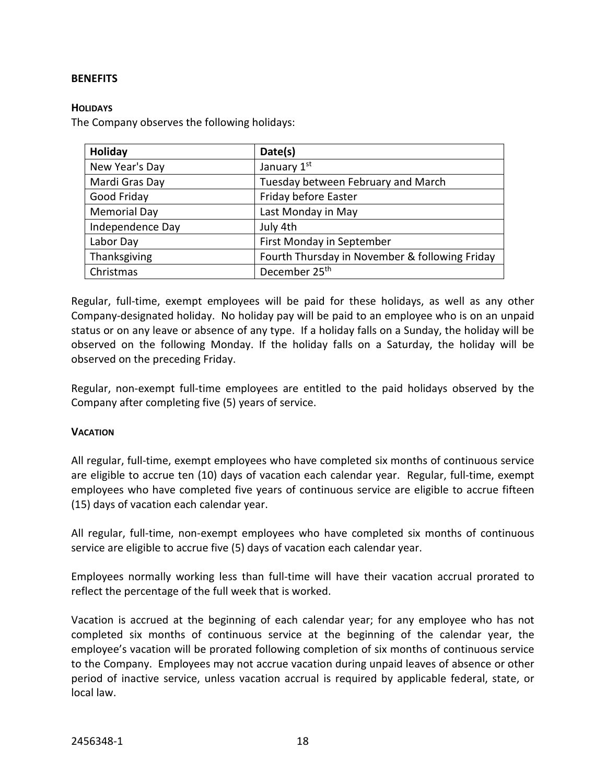# **BENEFITS**

#### **HOLIDAYS**

The Company observes the following holidays:

| <b>Holiday</b>      | Date(s)                                        |
|---------------------|------------------------------------------------|
| New Year's Day      | January 1st                                    |
| Mardi Gras Day      | Tuesday between February and March             |
| Good Friday         | Friday before Easter                           |
| <b>Memorial Day</b> | Last Monday in May                             |
| Independence Day    | July 4th                                       |
| Labor Day           | First Monday in September                      |
| Thanksgiving        | Fourth Thursday in November & following Friday |
| Christmas           | December 25 <sup>th</sup>                      |

Regular, full-time, exempt employees will be paid for these holidays, as well as any other Company-designated holiday. No holiday pay will be paid to an employee who is on an unpaid status or on any leave or absence of any type. If a holiday falls on a Sunday, the holiday will be observed on the following Monday. If the holiday falls on a Saturday, the holiday will be observed on the preceding Friday.

Regular, non-exempt full-time employees are entitled to the paid holidays observed by the Company after completing five (5) years of service.

# **VACATION**

All regular, full-time, exempt employees who have completed six months of continuous service are eligible to accrue ten (10) days of vacation each calendar year. Regular, full-time, exempt employees who have completed five years of continuous service are eligible to accrue fifteen (15) days of vacation each calendar year.

All regular, full-time, non-exempt employees who have completed six months of continuous service are eligible to accrue five (5) days of vacation each calendar year.

Employees normally working less than full-time will have their vacation accrual prorated to reflect the percentage of the full week that is worked.

Vacation is accrued at the beginning of each calendar year; for any employee who has not completed six months of continuous service at the beginning of the calendar year, the employee's vacation will be prorated following completion of six months of continuous service to the Company. Employees may not accrue vacation during unpaid leaves of absence or other period of inactive service, unless vacation accrual is required by applicable federal, state, or local law.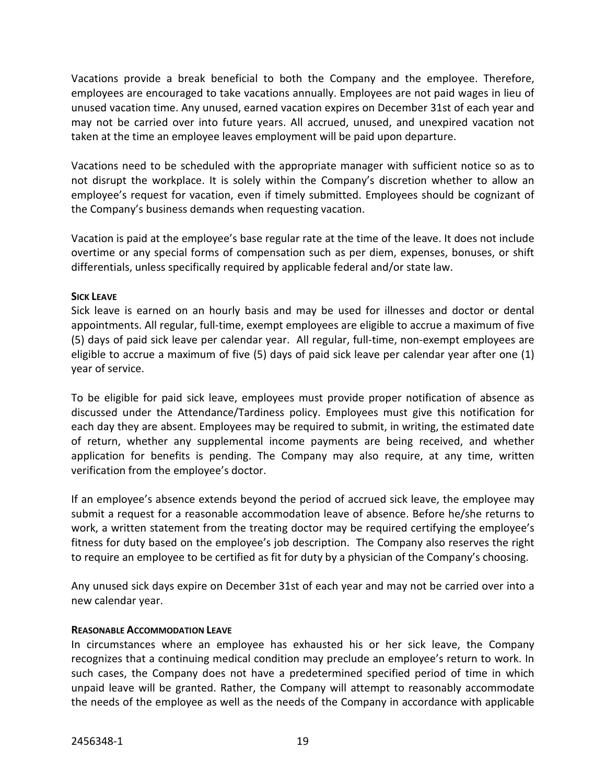Vacations provide a break beneficial to both the Company and the employee. Therefore, employees are encouraged to take vacations annually. Employees are not paid wages in lieu of unused vacation time. Any unused, earned vacation expires on December 31st of each year and may not be carried over into future years. All accrued, unused, and unexpired vacation not taken at the time an employee leaves employment will be paid upon departure.

Vacations need to be scheduled with the appropriate manager with sufficient notice so as to not disrupt the workplace. It is solely within the Company's discretion whether to allow an employee's request for vacation, even if timely submitted. Employees should be cognizant of the Company's business demands when requesting vacation.

Vacation is paid at the employee's base regular rate at the time of the leave. It does not include overtime or any special forms of compensation such as per diem, expenses, bonuses, or shift differentials, unless specifically required by applicable federal and/or state law.

# **SICK LEAVE**

Sick leave is earned on an hourly basis and may be used for illnesses and doctor or dental appointments. All regular, full-time, exempt employees are eligible to accrue a maximum of five (5) days of paid sick leave per calendar year. All regular, full-time, non-exempt employees are eligible to accrue a maximum of five (5) days of paid sick leave per calendar year after one (1) year of service.

To be eligible for paid sick leave, employees must provide proper notification of absence as discussed under the Attendance/Tardiness policy. Employees must give this notification for each day they are absent. Employees may be required to submit, in writing, the estimated date of return, whether any supplemental income payments are being received, and whether application for benefits is pending. The Company may also require, at any time, written verification from the employee's doctor.

If an employee's absence extends beyond the period of accrued sick leave, the employee may submit a request for a reasonable accommodation leave of absence. Before he/she returns to work, a written statement from the treating doctor may be required certifying the employee's fitness for duty based on the employee's job description. The Company also reserves the right to require an employee to be certified as fit for duty by a physician of the Company's choosing.

Any unused sick days expire on December 31st of each year and may not be carried over into a new calendar year.

# **REASONABLE ACCOMMODATION LEAVE**

In circumstances where an employee has exhausted his or her sick leave, the Company recognizes that a continuing medical condition may preclude an employee's return to work. In such cases, the Company does not have a predetermined specified period of time in which unpaid leave will be granted. Rather, the Company will attempt to reasonably accommodate the needs of the employee as well as the needs of the Company in accordance with applicable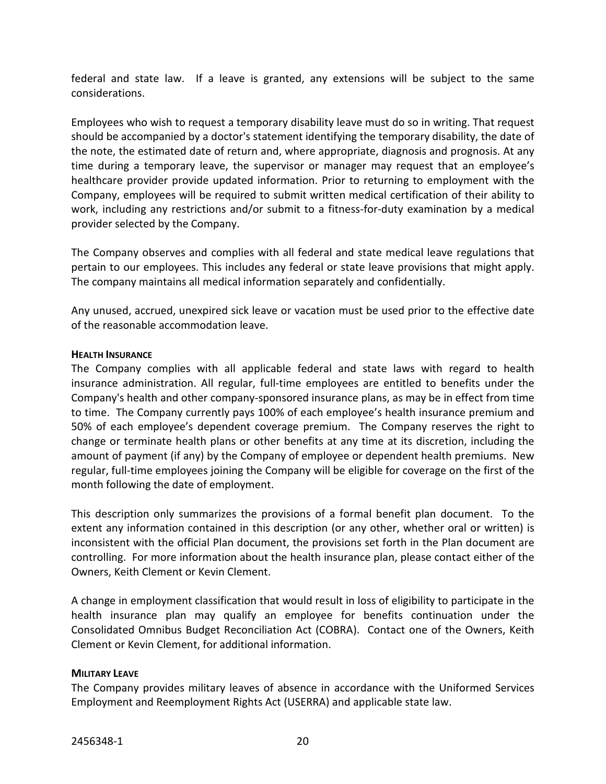federal and state law. If a leave is granted, any extensions will be subject to the same considerations.

Employees who wish to request a temporary disability leave must do so in writing. That request should be accompanied by a doctor's statement identifying the temporary disability, the date of the note, the estimated date of return and, where appropriate, diagnosis and prognosis. At any time during a temporary leave, the supervisor or manager may request that an employee's healthcare provider provide updated information. Prior to returning to employment with the Company, employees will be required to submit written medical certification of their ability to work, including any restrictions and/or submit to a fitness-for-duty examination by a medical provider selected by the Company.

The Company observes and complies with all federal and state medical leave regulations that pertain to our employees. This includes any federal or state leave provisions that might apply. The company maintains all medical information separately and confidentially.

Any unused, accrued, unexpired sick leave or vacation must be used prior to the effective date of the reasonable accommodation leave.

# **HEALTH INSURANCE**

The Company complies with all applicable federal and state laws with regard to health insurance administration. All regular, full-time employees are entitled to benefits under the Company's health and other company-sponsored insurance plans, as may be in effect from time to time. The Company currently pays 100% of each employee's health insurance premium and 50% of each employee's dependent coverage premium. The Company reserves the right to change or terminate health plans or other benefits at any time at its discretion, including the amount of payment (if any) by the Company of employee or dependent health premiums. New regular, full-time employees joining the Company will be eligible for coverage on the first of the month following the date of employment.

This description only summarizes the provisions of a formal benefit plan document. To the extent any information contained in this description (or any other, whether oral or written) is inconsistent with the official Plan document, the provisions set forth in the Plan document are controlling. For more information about the health insurance plan, please contact either of the Owners, Keith Clement or Kevin Clement.

A change in employment classification that would result in loss of eligibility to participate in the health insurance plan may qualify an employee for benefits continuation under the Consolidated Omnibus Budget Reconciliation Act (COBRA). Contact one of the Owners, Keith Clement or Kevin Clement, for additional information.

# **MILITARY LEAVE**

The Company provides military leaves of absence in accordance with the Uniformed Services Employment and Reemployment Rights Act (USERRA) and applicable state law.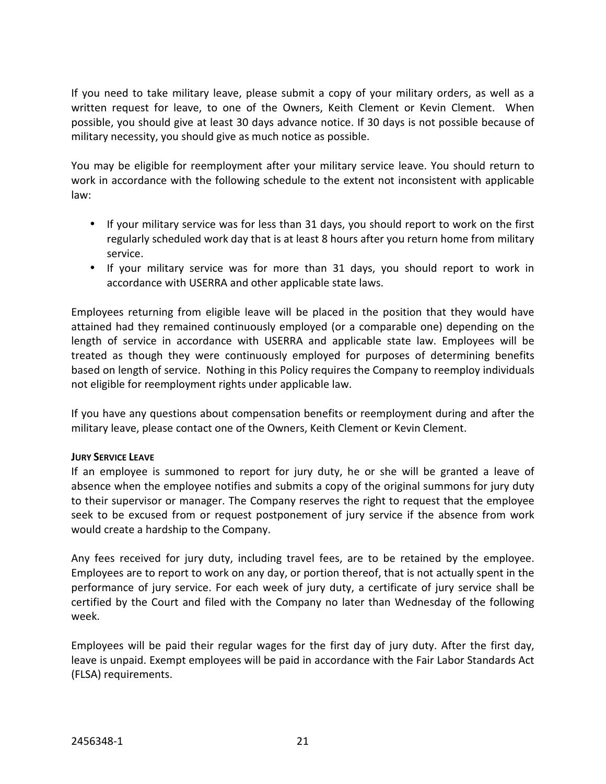If you need to take military leave, please submit a copy of your military orders, as well as a written request for leave, to one of the Owners, Keith Clement or Kevin Clement. When possible, you should give at least 30 days advance notice. If 30 days is not possible because of military necessity, you should give as much notice as possible.

You may be eligible for reemployment after your military service leave. You should return to work in accordance with the following schedule to the extent not inconsistent with applicable law:

- If your military service was for less than 31 days, you should report to work on the first regularly scheduled work day that is at least 8 hours after you return home from military service.
- If your military service was for more than 31 days, you should report to work in accordance with USERRA and other applicable state laws.

Employees returning from eligible leave will be placed in the position that they would have attained had they remained continuously employed (or a comparable one) depending on the length of service in accordance with USERRA and applicable state law. Employees will be treated as though they were continuously employed for purposes of determining benefits based on length of service. Nothing in this Policy requires the Company to reemploy individuals not eligible for reemployment rights under applicable law.

If you have any questions about compensation benefits or reemployment during and after the military leave, please contact one of the Owners, Keith Clement or Kevin Clement.

# **JURY SERVICE LEAVE**

If an employee is summoned to report for jury duty, he or she will be granted a leave of absence when the employee notifies and submits a copy of the original summons for jury duty to their supervisor or manager. The Company reserves the right to request that the employee seek to be excused from or request postponement of jury service if the absence from work would create a hardship to the Company.

Any fees received for jury duty, including travel fees, are to be retained by the employee. Employees are to report to work on any day, or portion thereof, that is not actually spent in the performance of jury service. For each week of jury duty, a certificate of jury service shall be certified by the Court and filed with the Company no later than Wednesday of the following week.

Employees will be paid their regular wages for the first day of jury duty. After the first day, leave is unpaid. Exempt employees will be paid in accordance with the Fair Labor Standards Act (FLSA) requirements.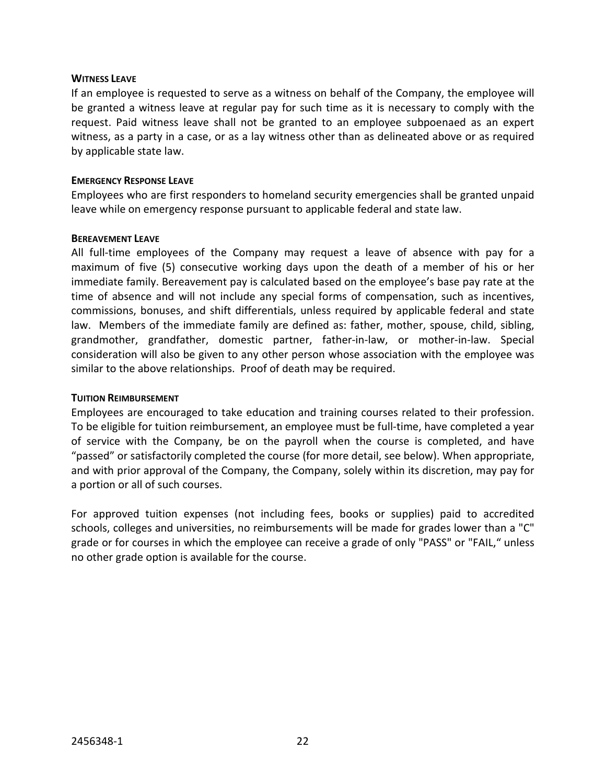#### **WITNESS LEAVE**

If an employee is requested to serve as a witness on behalf of the Company, the employee will be granted a witness leave at regular pay for such time as it is necessary to comply with the request. Paid witness leave shall not be granted to an employee subpoenaed as an expert witness, as a party in a case, or as a lay witness other than as delineated above or as required by applicable state law.

#### **EMERGENCY RESPONSE LEAVE**

Employees who are first responders to homeland security emergencies shall be granted unpaid leave while on emergency response pursuant to applicable federal and state law.

#### **BEREAVEMENT LEAVE**

All full-time employees of the Company may request a leave of absence with pay for a maximum of five (5) consecutive working days upon the death of a member of his or her immediate family. Bereavement pay is calculated based on the employee's base pay rate at the time of absence and will not include any special forms of compensation, such as incentives, commissions, bonuses, and shift differentials, unless required by applicable federal and state law. Members of the immediate family are defined as: father, mother, spouse, child, sibling, grandmother, grandfather, domestic partner, father-in-law, or mother-in-law. Special consideration will also be given to any other person whose association with the employee was similar to the above relationships. Proof of death may be required.

### **TUITION REIMBURSEMENT**

Employees are encouraged to take education and training courses related to their profession. To be eligible for tuition reimbursement, an employee must be full-time, have completed a year of service with the Company, be on the payroll when the course is completed, and have "passed" or satisfactorily completed the course (for more detail, see below). When appropriate, and with prior approval of the Company, the Company, solely within its discretion, may pay for a portion or all of such courses.

For approved tuition expenses (not including fees, books or supplies) paid to accredited schools, colleges and universities, no reimbursements will be made for grades lower than a "C" grade or for courses in which the employee can receive a grade of only "PASS" or "FAIL," unless no other grade option is available for the course.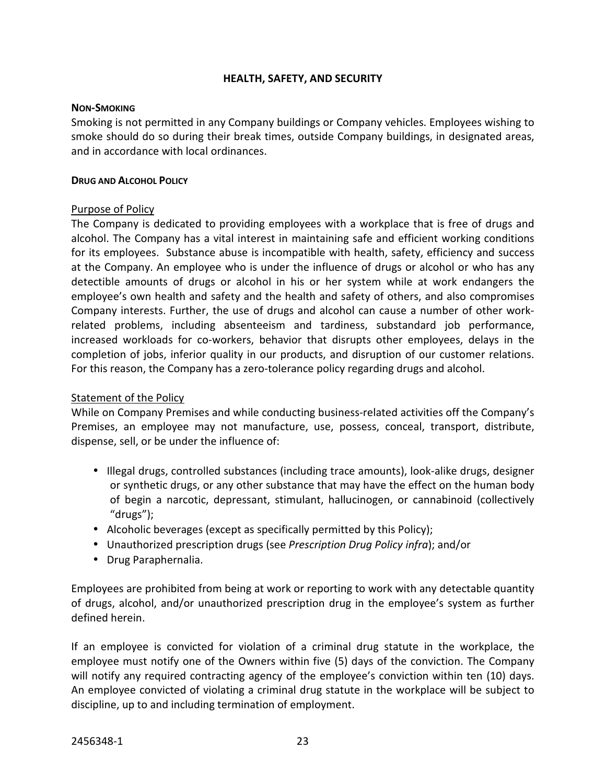# **HEALTH, SAFETY, AND SECURITY**

#### **NON-SMOKING**

Smoking is not permitted in any Company buildings or Company vehicles. Employees wishing to smoke should do so during their break times, outside Company buildings, in designated areas, and in accordance with local ordinances.

#### **DRUG AND ALCOHOL POLICY**

# Purpose of Policy

The Company is dedicated to providing employees with a workplace that is free of drugs and alcohol. The Company has a vital interest in maintaining safe and efficient working conditions for its employees. Substance abuse is incompatible with health, safety, efficiency and success at the Company. An employee who is under the influence of drugs or alcohol or who has any detectible amounts of drugs or alcohol in his or her system while at work endangers the employee's own health and safety and the health and safety of others, and also compromises Company interests. Further, the use of drugs and alcohol can cause a number of other workrelated problems, including absenteeism and tardiness, substandard job performance, increased workloads for co-workers, behavior that disrupts other employees, delays in the completion of jobs, inferior quality in our products, and disruption of our customer relations. For this reason, the Company has a zero-tolerance policy regarding drugs and alcohol.

# Statement of the Policy

While on Company Premises and while conducting business-related activities off the Company's Premises, an employee may not manufacture, use, possess, conceal, transport, distribute, dispense, sell, or be under the influence of:

- Illegal drugs, controlled substances (including trace amounts), look-alike drugs, designer or synthetic drugs, or any other substance that may have the effect on the human body of begin a narcotic, depressant, stimulant, hallucinogen, or cannabinoid (collectively "drugs");
- Alcoholic beverages (except as specifically permitted by this Policy);
- Unauthorized prescription drugs (see *Prescription Drug Policy infra*); and/or
- Drug Paraphernalia.

Employees are prohibited from being at work or reporting to work with any detectable quantity of drugs, alcohol, and/or unauthorized prescription drug in the employee's system as further defined herein.

If an employee is convicted for violation of a criminal drug statute in the workplace, the employee must notify one of the Owners within five (5) days of the conviction. The Company will notify any required contracting agency of the employee's conviction within ten (10) days. An employee convicted of violating a criminal drug statute in the workplace will be subject to discipline, up to and including termination of employment.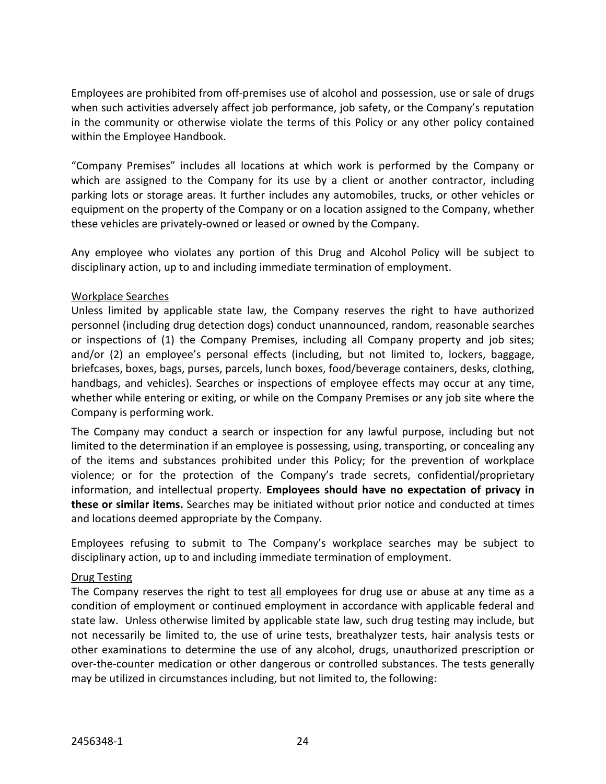Employees are prohibited from off-premises use of alcohol and possession, use or sale of drugs when such activities adversely affect job performance, job safety, or the Company's reputation in the community or otherwise violate the terms of this Policy or any other policy contained within the Employee Handbook.

"Company Premises" includes all locations at which work is performed by the Company or which are assigned to the Company for its use by a client or another contractor, including parking lots or storage areas. It further includes any automobiles, trucks, or other vehicles or equipment on the property of the Company or on a location assigned to the Company, whether these vehicles are privately-owned or leased or owned by the Company.

Any employee who violates any portion of this Drug and Alcohol Policy will be subject to disciplinary action, up to and including immediate termination of employment.

# Workplace Searches

Unless limited by applicable state law, the Company reserves the right to have authorized personnel (including drug detection dogs) conduct unannounced, random, reasonable searches or inspections of (1) the Company Premises, including all Company property and job sites; and/or (2) an employee's personal effects (including, but not limited to, lockers, baggage, briefcases, boxes, bags, purses, parcels, lunch boxes, food/beverage containers, desks, clothing, handbags, and vehicles). Searches or inspections of employee effects may occur at any time, whether while entering or exiting, or while on the Company Premises or any job site where the Company is performing work.

The Company may conduct a search or inspection for any lawful purpose, including but not limited to the determination if an employee is possessing, using, transporting, or concealing any of the items and substances prohibited under this Policy; for the prevention of workplace violence; or for the protection of the Company's trade secrets, confidential/proprietary information, and intellectual property. **Employees should have no expectation of privacy in these or similar items.** Searches may be initiated without prior notice and conducted at times and locations deemed appropriate by the Company.

Employees refusing to submit to The Company's workplace searches may be subject to disciplinary action, up to and including immediate termination of employment.

# Drug Testing

The Company reserves the right to test all employees for drug use or abuse at any time as a condition of employment or continued employment in accordance with applicable federal and state law. Unless otherwise limited by applicable state law, such drug testing may include, but not necessarily be limited to, the use of urine tests, breathalyzer tests, hair analysis tests or other examinations to determine the use of any alcohol, drugs, unauthorized prescription or over-the-counter medication or other dangerous or controlled substances. The tests generally may be utilized in circumstances including, but not limited to, the following: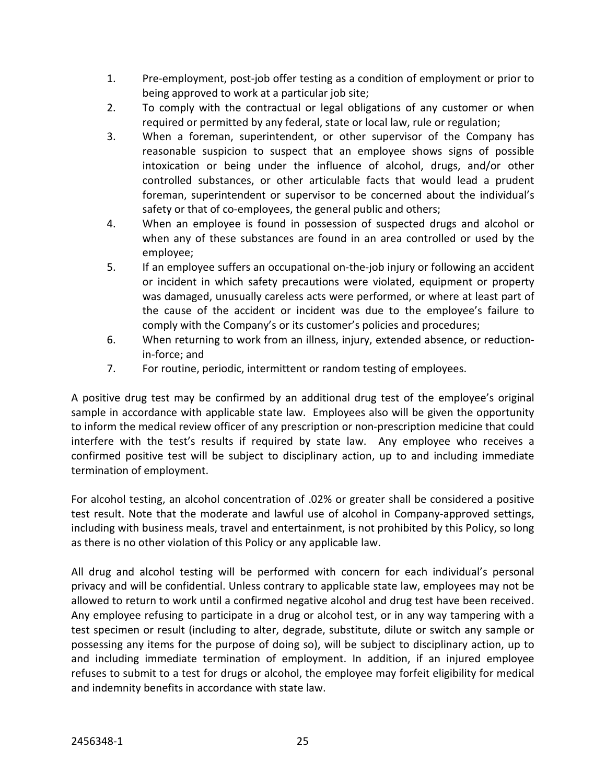- 1. Pre-employment, post-job offer testing as a condition of employment or prior to being approved to work at a particular job site;
- 2. To comply with the contractual or legal obligations of any customer or when required or permitted by any federal, state or local law, rule or regulation;
- 3. When a foreman, superintendent, or other supervisor of the Company has reasonable suspicion to suspect that an employee shows signs of possible intoxication or being under the influence of alcohol, drugs, and/or other controlled substances, or other articulable facts that would lead a prudent foreman, superintendent or supervisor to be concerned about the individual's safety or that of co-employees, the general public and others;
- 4. When an employee is found in possession of suspected drugs and alcohol or when any of these substances are found in an area controlled or used by the employee;
- 5. If an employee suffers an occupational on-the-job injury or following an accident or incident in which safety precautions were violated, equipment or property was damaged, unusually careless acts were performed, or where at least part of the cause of the accident or incident was due to the employee's failure to comply with the Company's or its customer's policies and procedures;
- 6. When returning to work from an illness, injury, extended absence, or reductionin-force; and
- 7. For routine, periodic, intermittent or random testing of employees.

A positive drug test may be confirmed by an additional drug test of the employee's original sample in accordance with applicable state law. Employees also will be given the opportunity to inform the medical review officer of any prescription or non-prescription medicine that could interfere with the test's results if required by state law. Any employee who receives a confirmed positive test will be subject to disciplinary action, up to and including immediate termination of employment.

For alcohol testing, an alcohol concentration of .02% or greater shall be considered a positive test result. Note that the moderate and lawful use of alcohol in Company-approved settings, including with business meals, travel and entertainment, is not prohibited by this Policy, so long as there is no other violation of this Policy or any applicable law.

All drug and alcohol testing will be performed with concern for each individual's personal privacy and will be confidential. Unless contrary to applicable state law, employees may not be allowed to return to work until a confirmed negative alcohol and drug test have been received. Any employee refusing to participate in a drug or alcohol test, or in any way tampering with a test specimen or result (including to alter, degrade, substitute, dilute or switch any sample or possessing any items for the purpose of doing so), will be subject to disciplinary action, up to and including immediate termination of employment. In addition, if an injured employee refuses to submit to a test for drugs or alcohol, the employee may forfeit eligibility for medical and indemnity benefits in accordance with state law.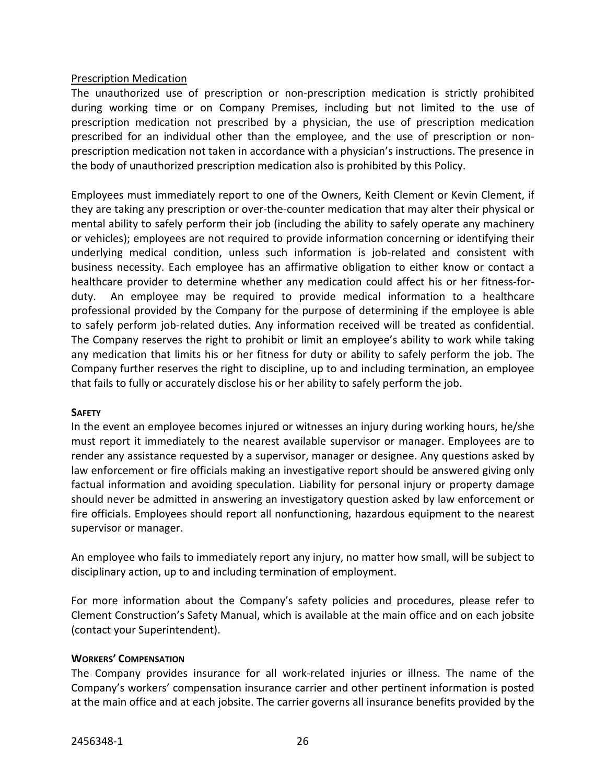# Prescription Medication

The unauthorized use of prescription or non-prescription medication is strictly prohibited during working time or on Company Premises, including but not limited to the use of prescription medication not prescribed by a physician, the use of prescription medication prescribed for an individual other than the employee, and the use of prescription or nonprescription medication not taken in accordance with a physician's instructions. The presence in the body of unauthorized prescription medication also is prohibited by this Policy.

Employees must immediately report to one of the Owners, Keith Clement or Kevin Clement, if they are taking any prescription or over-the-counter medication that may alter their physical or mental ability to safely perform their job (including the ability to safely operate any machinery or vehicles); employees are not required to provide information concerning or identifying their underlying medical condition, unless such information is job-related and consistent with business necessity. Each employee has an affirmative obligation to either know or contact a healthcare provider to determine whether any medication could affect his or her fitness-forduty. An employee may be required to provide medical information to a healthcare professional provided by the Company for the purpose of determining if the employee is able to safely perform job-related duties. Any information received will be treated as confidential. The Company reserves the right to prohibit or limit an employee's ability to work while taking any medication that limits his or her fitness for duty or ability to safely perform the job. The Company further reserves the right to discipline, up to and including termination, an employee that fails to fully or accurately disclose his or her ability to safely perform the job.

# **SAFETY**

In the event an employee becomes injured or witnesses an injury during working hours, he/she must report it immediately to the nearest available supervisor or manager. Employees are to render any assistance requested by a supervisor, manager or designee. Any questions asked by law enforcement or fire officials making an investigative report should be answered giving only factual information and avoiding speculation. Liability for personal injury or property damage should never be admitted in answering an investigatory question asked by law enforcement or fire officials. Employees should report all nonfunctioning, hazardous equipment to the nearest supervisor or manager.

An employee who fails to immediately report any injury, no matter how small, will be subject to disciplinary action, up to and including termination of employment.

For more information about the Company's safety policies and procedures, please refer to Clement Construction's Safety Manual, which is available at the main office and on each jobsite (contact your Superintendent).

# **WORKERS' COMPENSATION**

The Company provides insurance for all work-related injuries or illness. The name of the Company's workers' compensation insurance carrier and other pertinent information is posted at the main office and at each jobsite. The carrier governs all insurance benefits provided by the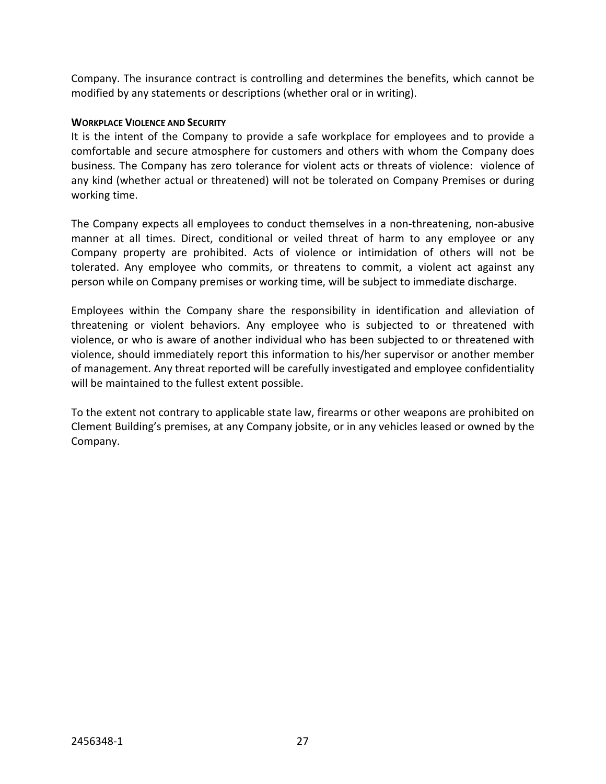Company. The insurance contract is controlling and determines the benefits, which cannot be modified by any statements or descriptions (whether oral or in writing).

# **WORKPLACE VIOLENCE AND SECURITY**

It is the intent of the Company to provide a safe workplace for employees and to provide a comfortable and secure atmosphere for customers and others with whom the Company does business. The Company has zero tolerance for violent acts or threats of violence: violence of any kind (whether actual or threatened) will not be tolerated on Company Premises or during working time.

The Company expects all employees to conduct themselves in a non-threatening, non-abusive manner at all times. Direct, conditional or veiled threat of harm to any employee or any Company property are prohibited. Acts of violence or intimidation of others will not be tolerated. Any employee who commits, or threatens to commit, a violent act against any person while on Company premises or working time, will be subject to immediate discharge.

Employees within the Company share the responsibility in identification and alleviation of threatening or violent behaviors. Any employee who is subjected to or threatened with violence, or who is aware of another individual who has been subjected to or threatened with violence, should immediately report this information to his/her supervisor or another member of management. Any threat reported will be carefully investigated and employee confidentiality will be maintained to the fullest extent possible.

To the extent not contrary to applicable state law, firearms or other weapons are prohibited on Clement Building's premises, at any Company jobsite, or in any vehicles leased or owned by the Company.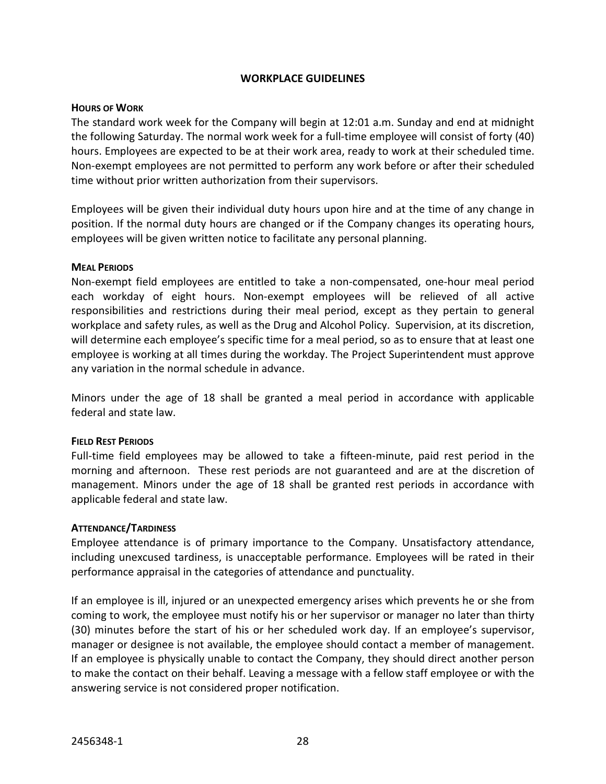# **WORKPLACE GUIDELINES**

#### **HOURS OF WORK**

The standard work week for the Company will begin at 12:01 a.m. Sunday and end at midnight the following Saturday. The normal work week for a full-time employee will consist of forty (40) hours. Employees are expected to be at their work area, ready to work at their scheduled time. Non-exempt employees are not permitted to perform any work before or after their scheduled time without prior written authorization from their supervisors.

Employees will be given their individual duty hours upon hire and at the time of any change in position. If the normal duty hours are changed or if the Company changes its operating hours, employees will be given written notice to facilitate any personal planning.

#### **MEAL PERIODS**

Non-exempt field employees are entitled to take a non-compensated, one-hour meal period each workday of eight hours. Non-exempt employees will be relieved of all active responsibilities and restrictions during their meal period, except as they pertain to general workplace and safety rules, as well as the Drug and Alcohol Policy. Supervision, at its discretion, will determine each employee's specific time for a meal period, so as to ensure that at least one employee is working at all times during the workday. The Project Superintendent must approve any variation in the normal schedule in advance.

Minors under the age of 18 shall be granted a meal period in accordance with applicable federal and state law.

# **FIELD REST PERIODS**

Full-time field employees may be allowed to take a fifteen-minute, paid rest period in the morning and afternoon. These rest periods are not guaranteed and are at the discretion of management. Minors under the age of 18 shall be granted rest periods in accordance with applicable federal and state law.

# **ATTENDANCE/TARDINESS**

Employee attendance is of primary importance to the Company. Unsatisfactory attendance, including unexcused tardiness, is unacceptable performance. Employees will be rated in their performance appraisal in the categories of attendance and punctuality.

If an employee is ill, injured or an unexpected emergency arises which prevents he or she from coming to work, the employee must notify his or her supervisor or manager no later than thirty (30) minutes before the start of his or her scheduled work day. If an employee's supervisor, manager or designee is not available, the employee should contact a member of management. If an employee is physically unable to contact the Company, they should direct another person to make the contact on their behalf. Leaving a message with a fellow staff employee or with the answering service is not considered proper notification.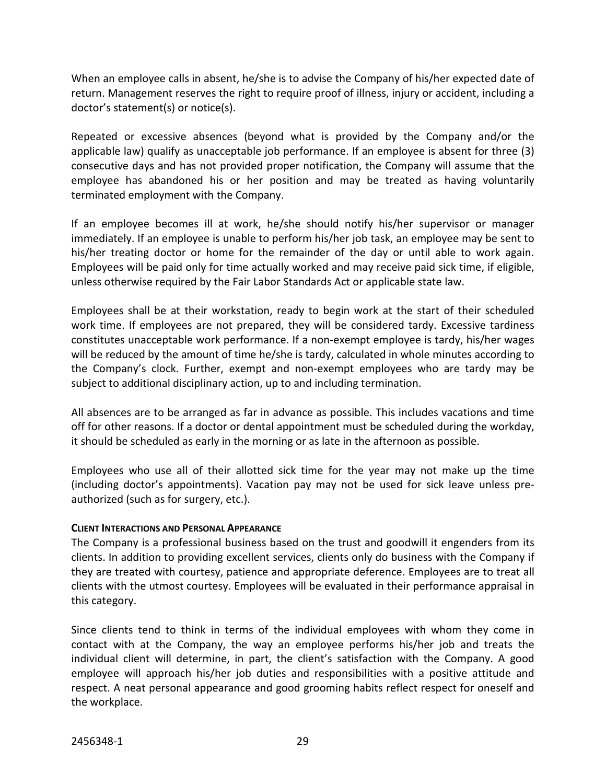When an employee calls in absent, he/she is to advise the Company of his/her expected date of return. Management reserves the right to require proof of illness, injury or accident, including a doctor's statement(s) or notice(s).

Repeated or excessive absences (beyond what is provided by the Company and/or the applicable law) qualify as unacceptable job performance. If an employee is absent for three (3) consecutive days and has not provided proper notification, the Company will assume that the employee has abandoned his or her position and may be treated as having voluntarily terminated employment with the Company.

If an employee becomes ill at work, he/she should notify his/her supervisor or manager immediately. If an employee is unable to perform his/her job task, an employee may be sent to his/her treating doctor or home for the remainder of the day or until able to work again. Employees will be paid only for time actually worked and may receive paid sick time, if eligible, unless otherwise required by the Fair Labor Standards Act or applicable state law.

Employees shall be at their workstation, ready to begin work at the start of their scheduled work time. If employees are not prepared, they will be considered tardy. Excessive tardiness constitutes unacceptable work performance. If a non-exempt employee is tardy, his/her wages will be reduced by the amount of time he/she is tardy, calculated in whole minutes according to the Company's clock. Further, exempt and non-exempt employees who are tardy may be subject to additional disciplinary action, up to and including termination.

All absences are to be arranged as far in advance as possible. This includes vacations and time off for other reasons. If a doctor or dental appointment must be scheduled during the workday, it should be scheduled as early in the morning or as late in the afternoon as possible.

Employees who use all of their allotted sick time for the year may not make up the time (including doctor's appointments). Vacation pay may not be used for sick leave unless preauthorized (such as for surgery, etc.).

# **CLIENT INTERACTIONS AND PERSONAL APPEARANCE**

The Company is a professional business based on the trust and goodwill it engenders from its clients. In addition to providing excellent services, clients only do business with the Company if they are treated with courtesy, patience and appropriate deference. Employees are to treat all clients with the utmost courtesy. Employees will be evaluated in their performance appraisal in this category.

Since clients tend to think in terms of the individual employees with whom they come in contact with at the Company, the way an employee performs his/her job and treats the individual client will determine, in part, the client's satisfaction with the Company. A good employee will approach his/her job duties and responsibilities with a positive attitude and respect. A neat personal appearance and good grooming habits reflect respect for oneself and the workplace.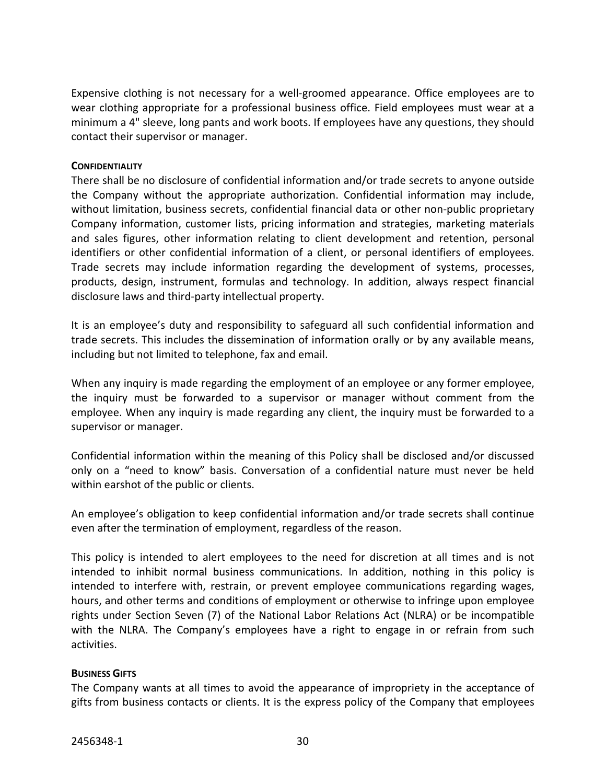Expensive clothing is not necessary for a well-groomed appearance. Office employees are to wear clothing appropriate for a professional business office. Field employees must wear at a minimum a 4" sleeve, long pants and work boots. If employees have any questions, they should contact their supervisor or manager.

#### **CONFIDENTIALITY**

There shall be no disclosure of confidential information and/or trade secrets to anyone outside the Company without the appropriate authorization. Confidential information may include, without limitation, business secrets, confidential financial data or other non-public proprietary Company information, customer lists, pricing information and strategies, marketing materials and sales figures, other information relating to client development and retention, personal identifiers or other confidential information of a client, or personal identifiers of employees. Trade secrets may include information regarding the development of systems, processes, products, design, instrument, formulas and technology. In addition, always respect financial disclosure laws and third-party intellectual property.

It is an employee's duty and responsibility to safeguard all such confidential information and trade secrets. This includes the dissemination of information orally or by any available means, including but not limited to telephone, fax and email.

When any inquiry is made regarding the employment of an employee or any former employee, the inquiry must be forwarded to a supervisor or manager without comment from the employee. When any inquiry is made regarding any client, the inquiry must be forwarded to a supervisor or manager.

Confidential information within the meaning of this Policy shall be disclosed and/or discussed only on a "need to know" basis. Conversation of a confidential nature must never be held within earshot of the public or clients.

An employee's obligation to keep confidential information and/or trade secrets shall continue even after the termination of employment, regardless of the reason.

This policy is intended to alert employees to the need for discretion at all times and is not intended to inhibit normal business communications. In addition, nothing in this policy is intended to interfere with, restrain, or prevent employee communications regarding wages, hours, and other terms and conditions of employment or otherwise to infringe upon employee rights under Section Seven (7) of the National Labor Relations Act (NLRA) or be incompatible with the NLRA. The Company's employees have a right to engage in or refrain from such activities.

# **BUSINESS GIFTS**

The Company wants at all times to avoid the appearance of impropriety in the acceptance of gifts from business contacts or clients. It is the express policy of the Company that employees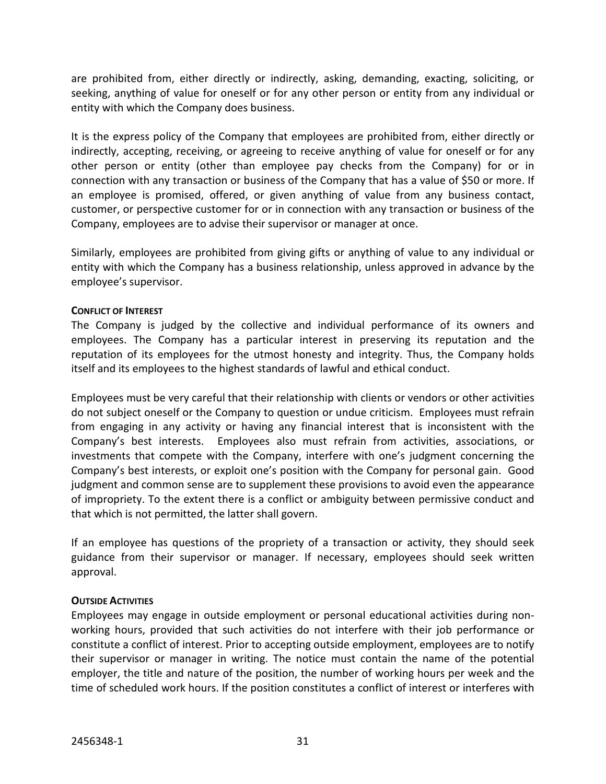are prohibited from, either directly or indirectly, asking, demanding, exacting, soliciting, or seeking, anything of value for oneself or for any other person or entity from any individual or entity with which the Company does business.

It is the express policy of the Company that employees are prohibited from, either directly or indirectly, accepting, receiving, or agreeing to receive anything of value for oneself or for any other person or entity (other than employee pay checks from the Company) for or in connection with any transaction or business of the Company that has a value of \$50 or more. If an employee is promised, offered, or given anything of value from any business contact, customer, or perspective customer for or in connection with any transaction or business of the Company, employees are to advise their supervisor or manager at once.

Similarly, employees are prohibited from giving gifts or anything of value to any individual or entity with which the Company has a business relationship, unless approved in advance by the employee's supervisor.

# **CONFLICT OF INTEREST**

The Company is judged by the collective and individual performance of its owners and employees. The Company has a particular interest in preserving its reputation and the reputation of its employees for the utmost honesty and integrity. Thus, the Company holds itself and its employees to the highest standards of lawful and ethical conduct.

Employees must be very careful that their relationship with clients or vendors or other activities do not subject oneself or the Company to question or undue criticism. Employees must refrain from engaging in any activity or having any financial interest that is inconsistent with the Company's best interests. Employees also must refrain from activities, associations, or investments that compete with the Company, interfere with one's judgment concerning the Company's best interests, or exploit one's position with the Company for personal gain. Good judgment and common sense are to supplement these provisions to avoid even the appearance of impropriety. To the extent there is a conflict or ambiguity between permissive conduct and that which is not permitted, the latter shall govern.

If an employee has questions of the propriety of a transaction or activity, they should seek guidance from their supervisor or manager. If necessary, employees should seek written approval.

# **OUTSIDE ACTIVITIES**

Employees may engage in outside employment or personal educational activities during nonworking hours, provided that such activities do not interfere with their job performance or constitute a conflict of interest. Prior to accepting outside employment, employees are to notify their supervisor or manager in writing. The notice must contain the name of the potential employer, the title and nature of the position, the number of working hours per week and the time of scheduled work hours. If the position constitutes a conflict of interest or interferes with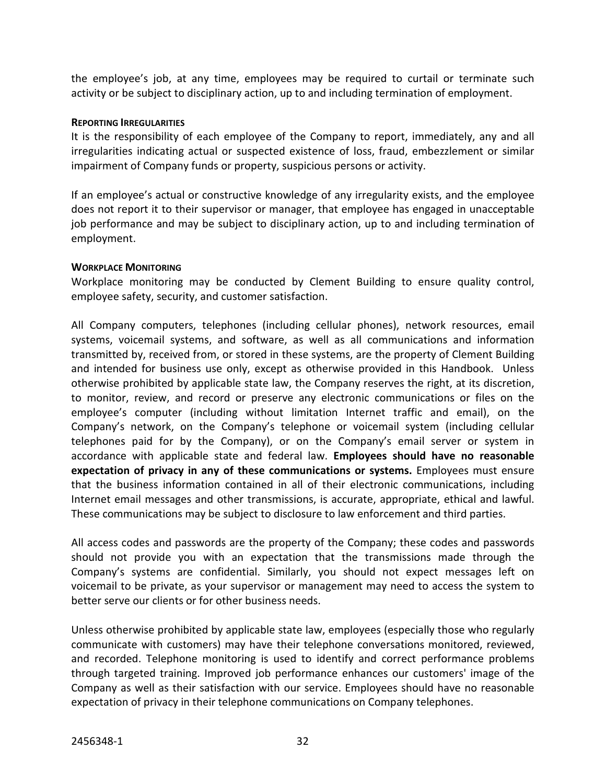the employee's job, at any time, employees may be required to curtail or terminate such activity or be subject to disciplinary action, up to and including termination of employment.

### **REPORTING IRREGULARITIES**

It is the responsibility of each employee of the Company to report, immediately, any and all irregularities indicating actual or suspected existence of loss, fraud, embezzlement or similar impairment of Company funds or property, suspicious persons or activity.

If an employee's actual or constructive knowledge of any irregularity exists, and the employee does not report it to their supervisor or manager, that employee has engaged in unacceptable job performance and may be subject to disciplinary action, up to and including termination of employment.

#### **WORKPLACE MONITORING**

Workplace monitoring may be conducted by Clement Building to ensure quality control, employee safety, security, and customer satisfaction.

All Company computers, telephones (including cellular phones), network resources, email systems, voicemail systems, and software, as well as all communications and information transmitted by, received from, or stored in these systems, are the property of Clement Building and intended for business use only, except as otherwise provided in this Handbook. Unless otherwise prohibited by applicable state law, the Company reserves the right, at its discretion, to monitor, review, and record or preserve any electronic communications or files on the employee's computer (including without limitation Internet traffic and email), on the Company's network, on the Company's telephone or voicemail system (including cellular telephones paid for by the Company), or on the Company's email server or system in accordance with applicable state and federal law. **Employees should have no reasonable expectation of privacy in any of these communications or systems.** Employees must ensure that the business information contained in all of their electronic communications, including Internet email messages and other transmissions, is accurate, appropriate, ethical and lawful. These communications may be subject to disclosure to law enforcement and third parties.

All access codes and passwords are the property of the Company; these codes and passwords should not provide you with an expectation that the transmissions made through the Company's systems are confidential. Similarly, you should not expect messages left on voicemail to be private, as your supervisor or management may need to access the system to better serve our clients or for other business needs.

Unless otherwise prohibited by applicable state law, employees (especially those who regularly communicate with customers) may have their telephone conversations monitored, reviewed, and recorded. Telephone monitoring is used to identify and correct performance problems through targeted training. Improved job performance enhances our customers' image of the Company as well as their satisfaction with our service. Employees should have no reasonable expectation of privacy in their telephone communications on Company telephones.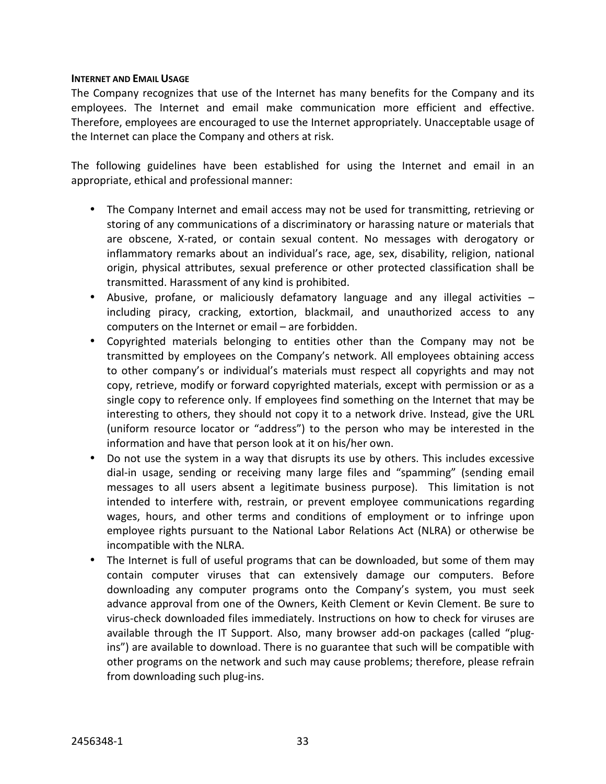#### **INTERNET AND EMAIL USAGE**

The Company recognizes that use of the Internet has many benefits for the Company and its employees. The Internet and email make communication more efficient and effective. Therefore, employees are encouraged to use the Internet appropriately. Unacceptable usage of the Internet can place the Company and others at risk.

The following guidelines have been established for using the Internet and email in an appropriate, ethical and professional manner:

- The Company Internet and email access may not be used for transmitting, retrieving or storing of any communications of a discriminatory or harassing nature or materials that are obscene, X-rated, or contain sexual content. No messages with derogatory or inflammatory remarks about an individual's race, age, sex, disability, religion, national origin, physical attributes, sexual preference or other protected classification shall be transmitted. Harassment of any kind is prohibited.
- Abusive, profane, or maliciously defamatory language and any illegal activities including piracy, cracking, extortion, blackmail, and unauthorized access to any computers on the Internet or email – are forbidden.
- Copyrighted materials belonging to entities other than the Company may not be transmitted by employees on the Company's network. All employees obtaining access to other company's or individual's materials must respect all copyrights and may not copy, retrieve, modify or forward copyrighted materials, except with permission or as a single copy to reference only. If employees find something on the Internet that may be interesting to others, they should not copy it to a network drive. Instead, give the URL (uniform resource locator or "address") to the person who may be interested in the information and have that person look at it on his/her own.
- Do not use the system in a way that disrupts its use by others. This includes excessive dial-in usage, sending or receiving many large files and "spamming" (sending email messages to all users absent a legitimate business purpose). This limitation is not intended to interfere with, restrain, or prevent employee communications regarding wages, hours, and other terms and conditions of employment or to infringe upon employee rights pursuant to the National Labor Relations Act (NLRA) or otherwise be incompatible with the NLRA.
- The Internet is full of useful programs that can be downloaded, but some of them may contain computer viruses that can extensively damage our computers. Before downloading any computer programs onto the Company's system, you must seek advance approval from one of the Owners, Keith Clement or Kevin Clement. Be sure to virus-check downloaded files immediately. Instructions on how to check for viruses are available through the IT Support. Also, many browser add-on packages (called "plugins") are available to download. There is no guarantee that such will be compatible with other programs on the network and such may cause problems; therefore, please refrain from downloading such plug-ins.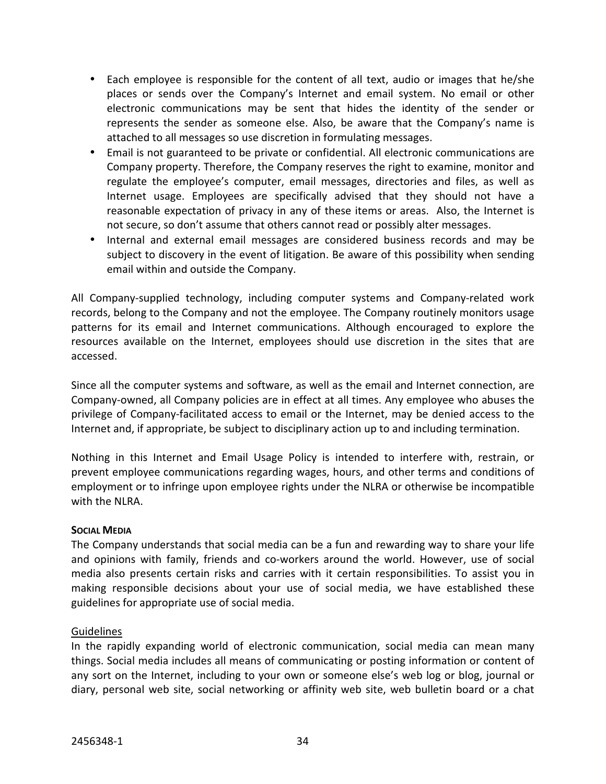- Each employee is responsible for the content of all text, audio or images that he/she places or sends over the Company's Internet and email system. No email or other electronic communications may be sent that hides the identity of the sender or represents the sender as someone else. Also, be aware that the Company's name is attached to all messages so use discretion in formulating messages.
- Email is not guaranteed to be private or confidential. All electronic communications are Company property. Therefore, the Company reserves the right to examine, monitor and regulate the employee's computer, email messages, directories and files, as well as Internet usage. Employees are specifically advised that they should not have a reasonable expectation of privacy in any of these items or areas. Also, the Internet is not secure, so don't assume that others cannot read or possibly alter messages.
- Internal and external email messages are considered business records and may be subject to discovery in the event of litigation. Be aware of this possibility when sending email within and outside the Company.

All Company-supplied technology, including computer systems and Company-related work records, belong to the Company and not the employee. The Company routinely monitors usage patterns for its email and Internet communications. Although encouraged to explore the resources available on the Internet, employees should use discretion in the sites that are accessed.

Since all the computer systems and software, as well as the email and Internet connection, are Company-owned, all Company policies are in effect at all times. Any employee who abuses the privilege of Company-facilitated access to email or the Internet, may be denied access to the Internet and, if appropriate, be subject to disciplinary action up to and including termination.

Nothing in this Internet and Email Usage Policy is intended to interfere with, restrain, or prevent employee communications regarding wages, hours, and other terms and conditions of employment or to infringe upon employee rights under the NLRA or otherwise be incompatible with the NLRA.

# **SOCIAL MEDIA**

The Company understands that social media can be a fun and rewarding way to share your life and opinions with family, friends and co-workers around the world. However, use of social media also presents certain risks and carries with it certain responsibilities. To assist you in making responsible decisions about your use of social media, we have established these guidelines for appropriate use of social media.

# **Guidelines**

In the rapidly expanding world of electronic communication, social media can mean many things. Social media includes all means of communicating or posting information or content of any sort on the Internet, including to your own or someone else's web log or blog, journal or diary, personal web site, social networking or affinity web site, web bulletin board or a chat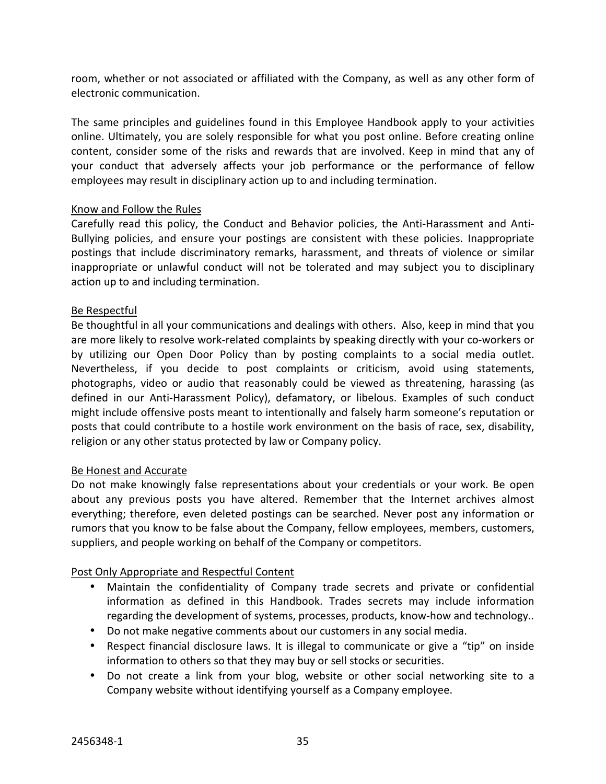room, whether or not associated or affiliated with the Company, as well as any other form of electronic communication.

The same principles and guidelines found in this Employee Handbook apply to your activities online. Ultimately, you are solely responsible for what you post online. Before creating online content, consider some of the risks and rewards that are involved. Keep in mind that any of your conduct that adversely affects your job performance or the performance of fellow employees may result in disciplinary action up to and including termination.

# Know and Follow the Rules

Carefully read this policy, the Conduct and Behavior policies, the Anti-Harassment and Anti-Bullying policies, and ensure your postings are consistent with these policies. Inappropriate postings that include discriminatory remarks, harassment, and threats of violence or similar inappropriate or unlawful conduct will not be tolerated and may subject you to disciplinary action up to and including termination.

# Be Respectful

Be thoughtful in all your communications and dealings with others. Also, keep in mind that you are more likely to resolve work-related complaints by speaking directly with your co-workers or by utilizing our Open Door Policy than by posting complaints to a social media outlet. Nevertheless, if you decide to post complaints or criticism, avoid using statements, photographs, video or audio that reasonably could be viewed as threatening, harassing (as defined in our Anti-Harassment Policy), defamatory, or libelous. Examples of such conduct might include offensive posts meant to intentionally and falsely harm someone's reputation or posts that could contribute to a hostile work environment on the basis of race, sex, disability, religion or any other status protected by law or Company policy.

# Be Honest and Accurate

Do not make knowingly false representations about your credentials or your work. Be open about any previous posts you have altered. Remember that the Internet archives almost everything; therefore, even deleted postings can be searched. Never post any information or rumors that you know to be false about the Company, fellow employees, members, customers, suppliers, and people working on behalf of the Company or competitors.

# Post Only Appropriate and Respectful Content

- Maintain the confidentiality of Company trade secrets and private or confidential information as defined in this Handbook. Trades secrets may include information regarding the development of systems, processes, products, know-how and technology..
- Do not make negative comments about our customers in any social media.
- Respect financial disclosure laws. It is illegal to communicate or give a "tip" on inside information to others so that they may buy or sell stocks or securities.
- Do not create a link from your blog, website or other social networking site to a Company website without identifying yourself as a Company employee.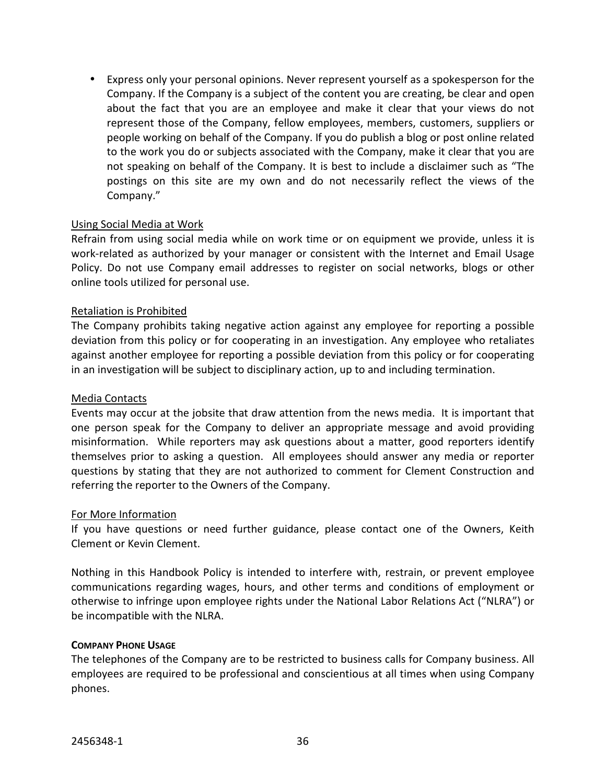• Express only your personal opinions. Never represent yourself as a spokesperson for the Company. If the Company is a subject of the content you are creating, be clear and open about the fact that you are an employee and make it clear that your views do not represent those of the Company, fellow employees, members, customers, suppliers or people working on behalf of the Company. If you do publish a blog or post online related to the work you do or subjects associated with the Company, make it clear that you are not speaking on behalf of the Company. It is best to include a disclaimer such as "The postings on this site are my own and do not necessarily reflect the views of the Company."

# Using Social Media at Work

Refrain from using social media while on work time or on equipment we provide, unless it is work-related as authorized by your manager or consistent with the Internet and Email Usage Policy. Do not use Company email addresses to register on social networks, blogs or other online tools utilized for personal use.

# Retaliation is Prohibited

The Company prohibits taking negative action against any employee for reporting a possible deviation from this policy or for cooperating in an investigation. Any employee who retaliates against another employee for reporting a possible deviation from this policy or for cooperating in an investigation will be subject to disciplinary action, up to and including termination.

# Media Contacts

Events may occur at the jobsite that draw attention from the news media. It is important that one person speak for the Company to deliver an appropriate message and avoid providing misinformation. While reporters may ask questions about a matter, good reporters identify themselves prior to asking a question. All employees should answer any media or reporter questions by stating that they are not authorized to comment for Clement Construction and referring the reporter to the Owners of the Company.

# For More Information

If you have questions or need further guidance, please contact one of the Owners, Keith Clement or Kevin Clement.

Nothing in this Handbook Policy is intended to interfere with, restrain, or prevent employee communications regarding wages, hours, and other terms and conditions of employment or otherwise to infringe upon employee rights under the National Labor Relations Act ("NLRA") or be incompatible with the NLRA.

# **COMPANY PHONE USAGE**

The telephones of the Company are to be restricted to business calls for Company business. All employees are required to be professional and conscientious at all times when using Company phones.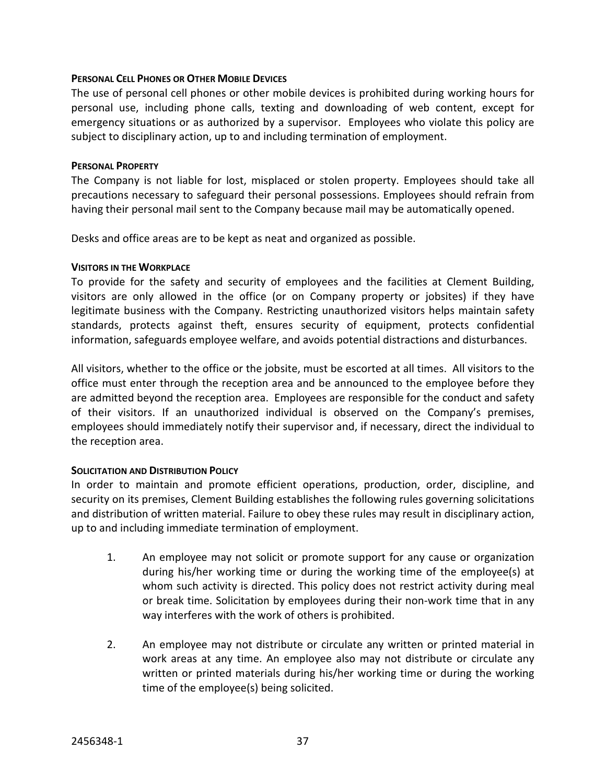#### **PERSONAL CELL PHONES OR OTHER MOBILE DEVICES**

The use of personal cell phones or other mobile devices is prohibited during working hours for personal use, including phone calls, texting and downloading of web content, except for emergency situations or as authorized by a supervisor. Employees who violate this policy are subject to disciplinary action, up to and including termination of employment.

#### **PERSONAL PROPERTY**

The Company is not liable for lost, misplaced or stolen property. Employees should take all precautions necessary to safeguard their personal possessions. Employees should refrain from having their personal mail sent to the Company because mail may be automatically opened.

Desks and office areas are to be kept as neat and organized as possible.

#### **VISITORS IN THE WORKPLACE**

To provide for the safety and security of employees and the facilities at Clement Building, visitors are only allowed in the office (or on Company property or jobsites) if they have legitimate business with the Company. Restricting unauthorized visitors helps maintain safety standards, protects against theft, ensures security of equipment, protects confidential information, safeguards employee welfare, and avoids potential distractions and disturbances.

All visitors, whether to the office or the jobsite, must be escorted at all times. All visitors to the office must enter through the reception area and be announced to the employee before they are admitted beyond the reception area. Employees are responsible for the conduct and safety of their visitors. If an unauthorized individual is observed on the Company's premises, employees should immediately notify their supervisor and, if necessary, direct the individual to the reception area.

# **SOLICITATION AND DISTRIBUTION POLICY**

In order to maintain and promote efficient operations, production, order, discipline, and security on its premises, Clement Building establishes the following rules governing solicitations and distribution of written material. Failure to obey these rules may result in disciplinary action, up to and including immediate termination of employment.

- 1. An employee may not solicit or promote support for any cause or organization during his/her working time or during the working time of the employee(s) at whom such activity is directed. This policy does not restrict activity during meal or break time. Solicitation by employees during their non-work time that in any way interferes with the work of others is prohibited.
- 2. An employee may not distribute or circulate any written or printed material in work areas at any time. An employee also may not distribute or circulate any written or printed materials during his/her working time or during the working time of the employee(s) being solicited.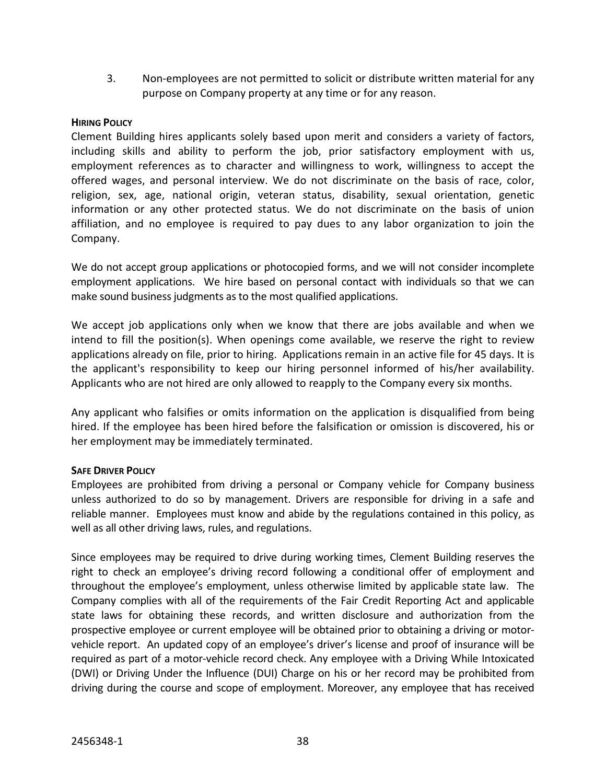3. Non-employees are not permitted to solicit or distribute written material for any purpose on Company property at any time or for any reason.

# **HIRING POLICY**

Clement Building hires applicants solely based upon merit and considers a variety of factors, including skills and ability to perform the job, prior satisfactory employment with us, employment references as to character and willingness to work, willingness to accept the offered wages, and personal interview. We do not discriminate on the basis of race, color, religion, sex, age, national origin, veteran status, disability, sexual orientation, genetic information or any other protected status. We do not discriminate on the basis of union affiliation, and no employee is required to pay dues to any labor organization to join the Company.

We do not accept group applications or photocopied forms, and we will not consider incomplete employment applications. We hire based on personal contact with individuals so that we can make sound business judgments as to the most qualified applications.

We accept job applications only when we know that there are jobs available and when we intend to fill the position(s). When openings come available, we reserve the right to review applications already on file, prior to hiring. Applications remain in an active file for 45 days. It is the applicant's responsibility to keep our hiring personnel informed of his/her availability. Applicants who are not hired are only allowed to reapply to the Company every six months.

Any applicant who falsifies or omits information on the application is disqualified from being hired. If the employee has been hired before the falsification or omission is discovered, his or her employment may be immediately terminated.

# **SAFE DRIVER POLICY**

Employees are prohibited from driving a personal or Company vehicle for Company business unless authorized to do so by management. Drivers are responsible for driving in a safe and reliable manner. Employees must know and abide by the regulations contained in this policy, as well as all other driving laws, rules, and regulations.

Since employees may be required to drive during working times, Clement Building reserves the right to check an employee's driving record following a conditional offer of employment and throughout the employee's employment, unless otherwise limited by applicable state law. The Company complies with all of the requirements of the Fair Credit Reporting Act and applicable state laws for obtaining these records, and written disclosure and authorization from the prospective employee or current employee will be obtained prior to obtaining a driving or motorvehicle report. An updated copy of an employee's driver's license and proof of insurance will be required as part of a motor-vehicle record check. Any employee with a Driving While Intoxicated (DWI) or Driving Under the Influence (DUI) Charge on his or her record may be prohibited from driving during the course and scope of employment. Moreover, any employee that has received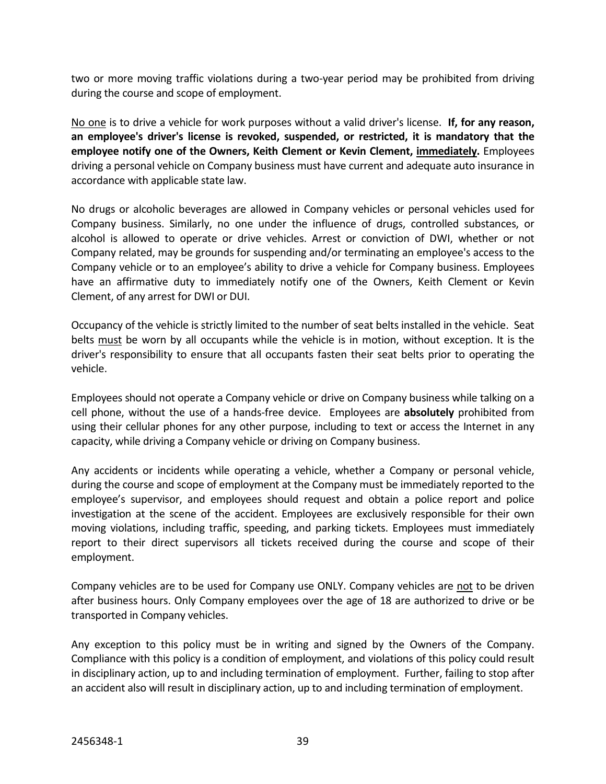two or more moving traffic violations during a two-year period may be prohibited from driving during the course and scope of employment.

No one is to drive a vehicle for work purposes without a valid driver's license. **If, for any reason, an employee's driver's license is revoked, suspended, or restricted, it is mandatory that the employee notify one of the Owners, Keith Clement or Kevin Clement, immediately.** Employees driving a personal vehicle on Company business must have current and adequate auto insurance in accordance with applicable state law.

No drugs or alcoholic beverages are allowed in Company vehicles or personal vehicles used for Company business. Similarly, no one under the influence of drugs, controlled substances, or alcohol is allowed to operate or drive vehicles. Arrest or conviction of DWI, whether or not Company related, may be grounds for suspending and/or terminating an employee's access to the Company vehicle or to an employee's ability to drive a vehicle for Company business. Employees have an affirmative duty to immediately notify one of the Owners, Keith Clement or Kevin Clement, of any arrest for DWI or DUI.

Occupancy of the vehicle is strictly limited to the number of seat belts installed in the vehicle. Seat belts must be worn by all occupants while the vehicle is in motion, without exception. It is the driver's responsibility to ensure that all occupants fasten their seat belts prior to operating the vehicle.

Employees should not operate a Company vehicle or drive on Company business while talking on a cell phone, without the use of a hands-free device. Employees are **absolutely** prohibited from using their cellular phones for any other purpose, including to text or access the Internet in any capacity, while driving a Company vehicle or driving on Company business.

Any accidents or incidents while operating a vehicle, whether a Company or personal vehicle, during the course and scope of employment at the Company must be immediately reported to the employee's supervisor, and employees should request and obtain a police report and police investigation at the scene of the accident. Employees are exclusively responsible for their own moving violations, including traffic, speeding, and parking tickets. Employees must immediately report to their direct supervisors all tickets received during the course and scope of their employment.

Company vehicles are to be used for Company use ONLY. Company vehicles are not to be driven after business hours. Only Company employees over the age of 18 are authorized to drive or be transported in Company vehicles.

Any exception to this policy must be in writing and signed by the Owners of the Company. Compliance with this policy is a condition of employment, and violations of this policy could result in disciplinary action, up to and including termination of employment. Further, failing to stop after an accident also will result in disciplinary action, up to and including termination of employment.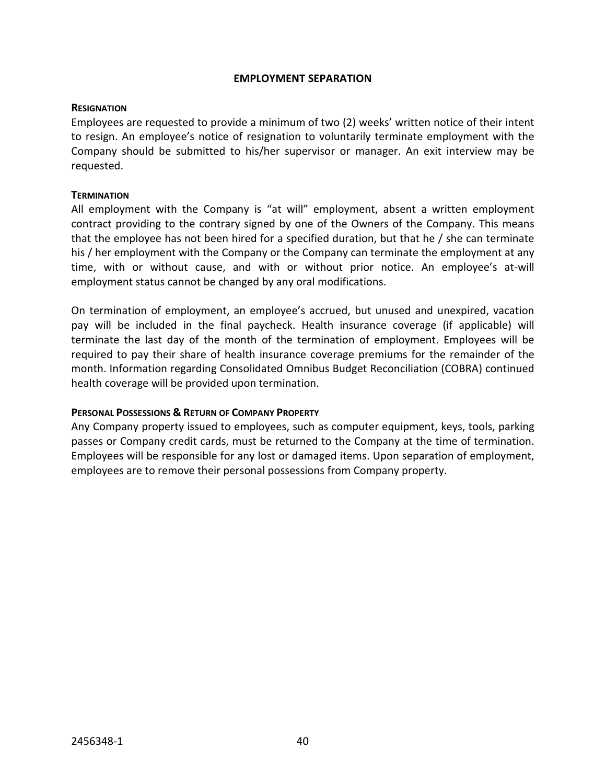### **EMPLOYMENT SEPARATION**

#### **RESIGNATION**

Employees are requested to provide a minimum of two (2) weeks' written notice of their intent to resign. An employee's notice of resignation to voluntarily terminate employment with the Company should be submitted to his/her supervisor or manager. An exit interview may be requested.

#### **TERMINATION**

All employment with the Company is "at will" employment, absent a written employment contract providing to the contrary signed by one of the Owners of the Company. This means that the employee has not been hired for a specified duration, but that he / she can terminate his / her employment with the Company or the Company can terminate the employment at any time, with or without cause, and with or without prior notice. An employee's at-will employment status cannot be changed by any oral modifications.

On termination of employment, an employee's accrued, but unused and unexpired, vacation pay will be included in the final paycheck. Health insurance coverage (if applicable) will terminate the last day of the month of the termination of employment. Employees will be required to pay their share of health insurance coverage premiums for the remainder of the month. Information regarding Consolidated Omnibus Budget Reconciliation (COBRA) continued health coverage will be provided upon termination.

# **PERSONAL POSSESSIONS & RETURN OF COMPANY PROPERTY**

Any Company property issued to employees, such as computer equipment, keys, tools, parking passes or Company credit cards, must be returned to the Company at the time of termination. Employees will be responsible for any lost or damaged items. Upon separation of employment, employees are to remove their personal possessions from Company property.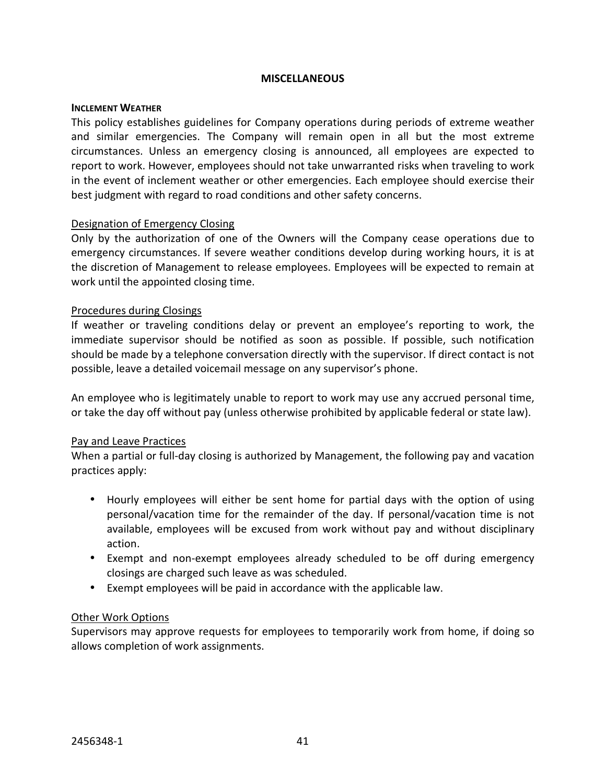#### **MISCELLANEOUS**

#### **INCLEMENT WEATHER**

This policy establishes guidelines for Company operations during periods of extreme weather and similar emergencies. The Company will remain open in all but the most extreme circumstances. Unless an emergency closing is announced, all employees are expected to report to work. However, employees should not take unwarranted risks when traveling to work in the event of inclement weather or other emergencies. Each employee should exercise their best judgment with regard to road conditions and other safety concerns.

# Designation of Emergency Closing

Only by the authorization of one of the Owners will the Company cease operations due to emergency circumstances. If severe weather conditions develop during working hours, it is at the discretion of Management to release employees. Employees will be expected to remain at work until the appointed closing time.

#### Procedures during Closings

If weather or traveling conditions delay or prevent an employee's reporting to work, the immediate supervisor should be notified as soon as possible. If possible, such notification should be made by a telephone conversation directly with the supervisor. If direct contact is not possible, leave a detailed voicemail message on any supervisor's phone.

An employee who is legitimately unable to report to work may use any accrued personal time, or take the day off without pay (unless otherwise prohibited by applicable federal or state law).

# Pay and Leave Practices

When a partial or full-day closing is authorized by Management, the following pay and vacation practices apply:

- Hourly employees will either be sent home for partial days with the option of using personal/vacation time for the remainder of the day. If personal/vacation time is not available, employees will be excused from work without pay and without disciplinary action.
- Exempt and non-exempt employees already scheduled to be off during emergency closings are charged such leave as was scheduled.
- Exempt employees will be paid in accordance with the applicable law.

# Other Work Options

Supervisors may approve requests for employees to temporarily work from home, if doing so allows completion of work assignments.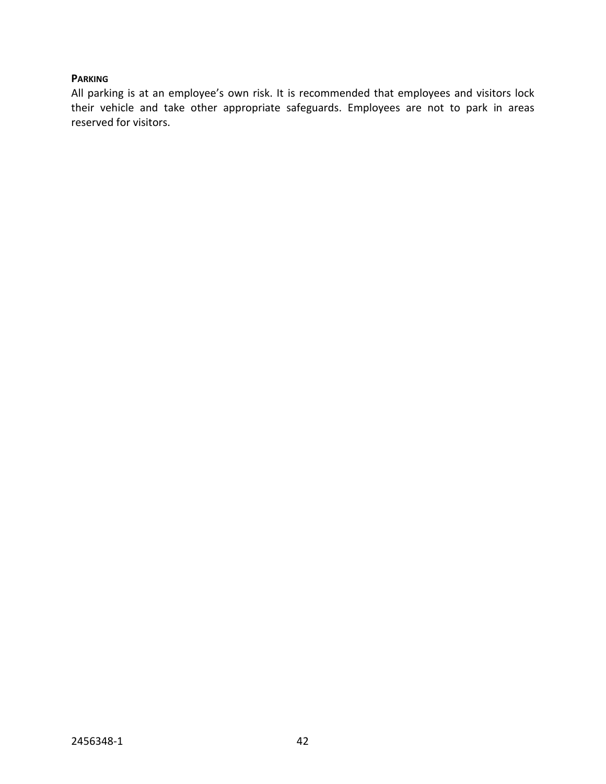# **PARKING**

All parking is at an employee's own risk. It is recommended that employees and visitors lock their vehicle and take other appropriate safeguards. Employees are not to park in areas reserved for visitors.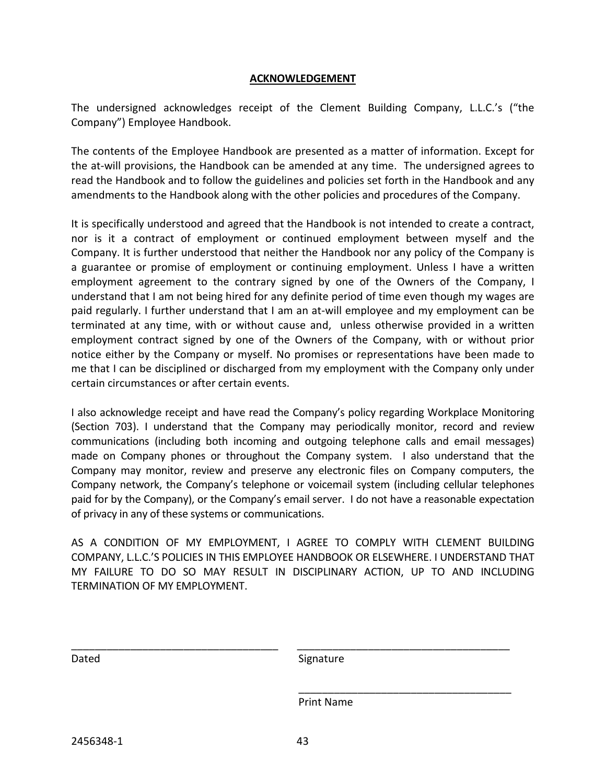### **ACKNOWLEDGEMENT**

The undersigned acknowledges receipt of the Clement Building Company, L.L.C.'s ("the Company") Employee Handbook.

The contents of the Employee Handbook are presented as a matter of information. Except for the at-will provisions, the Handbook can be amended at any time. The undersigned agrees to read the Handbook and to follow the guidelines and policies set forth in the Handbook and any amendments to the Handbook along with the other policies and procedures of the Company.

It is specifically understood and agreed that the Handbook is not intended to create a contract, nor is it a contract of employment or continued employment between myself and the Company. It is further understood that neither the Handbook nor any policy of the Company is a guarantee or promise of employment or continuing employment. Unless I have a written employment agreement to the contrary signed by one of the Owners of the Company, I understand that I am not being hired for any definite period of time even though my wages are paid regularly. I further understand that I am an at-will employee and my employment can be terminated at any time, with or without cause and, unless otherwise provided in a written employment contract signed by one of the Owners of the Company, with or without prior notice either by the Company or myself. No promises or representations have been made to me that I can be disciplined or discharged from my employment with the Company only under certain circumstances or after certain events.

I also acknowledge receipt and have read the Company's policy regarding Workplace Monitoring (Section 703). I understand that the Company may periodically monitor, record and review communications (including both incoming and outgoing telephone calls and email messages) made on Company phones or throughout the Company system. I also understand that the Company may monitor, review and preserve any electronic files on Company computers, the Company network, the Company's telephone or voicemail system (including cellular telephones paid for by the Company), or the Company's email server. I do not have a reasonable expectation of privacy in any of these systems or communications.

AS A CONDITION OF MY EMPLOYMENT, I AGREE TO COMPLY WITH CLEMENT BUILDING COMPANY, L.L.C.'S POLICIES IN THIS EMPLOYEE HANDBOOK OR ELSEWHERE. I UNDERSTAND THAT MY FAILURE TO DO SO MAY RESULT IN DISCIPLINARY ACTION, UP TO AND INCLUDING TERMINATION OF MY EMPLOYMENT.

\_\_\_\_\_\_\_\_\_\_\_\_\_\_\_\_\_\_\_\_\_\_\_\_\_\_\_\_\_\_\_\_\_\_\_ \_\_\_\_\_\_\_\_\_\_\_\_\_\_\_\_\_\_\_\_\_\_\_\_\_\_\_\_\_\_\_\_\_\_\_\_

 $\overline{\phantom{a}}$  , and the contract of the contract of the contract of the contract of the contract of the contract of the contract of the contract of the contract of the contract of the contract of the contract of the contrac

Dated Signature

Print Name